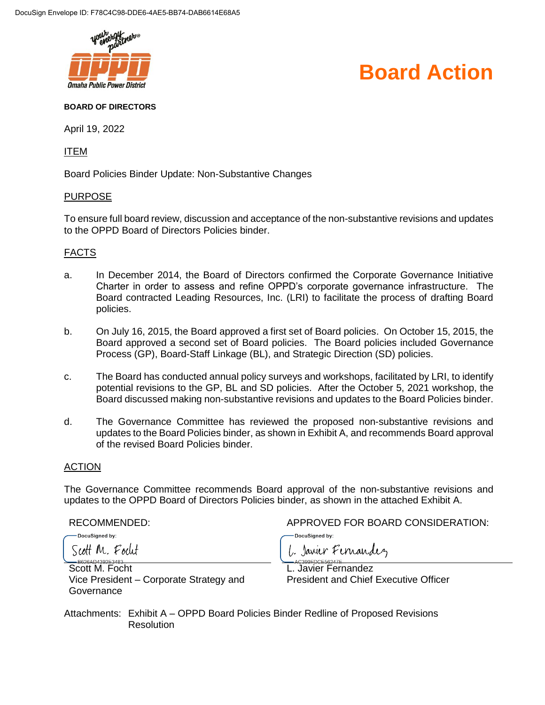

# **Board Action**

#### **BOARD OF DIRECTORS**

April 19, 2022

ITEM

Board Policies Binder Update: Non-Substantive Changes

#### PURPOSE

To ensure full board review, discussion and acceptance of the non-substantive revisions and updates to the OPPD Board of Directors Policies binder.

# FACTS

- a. In December 2014, the Board of Directors confirmed the Corporate Governance Initiative Charter in order to assess and refine OPPD's corporate governance infrastructure. The Board contracted Leading Resources, Inc. (LRI) to facilitate the process of drafting Board policies.
- b. On July 16, 2015, the Board approved a first set of Board policies. On October 15, 2015, the Board approved a second set of Board policies. The Board policies included Governance Process (GP), Board-Staff Linkage (BL), and Strategic Direction (SD) policies.
- c. The Board has conducted annual policy surveys and workshops, facilitated by LRI, to identify potential revisions to the GP, BL and SD policies. After the October 5, 2021 workshop, the Board discussed making non-substantive revisions and updates to the Board Policies binder.
- d. The Governance Committee has reviewed the proposed non-substantive revisions and updates to the Board Policies binder, as shown in Exhibit A, and recommends Board approval of the revised Board Policies binder.

# ACTION

The Governance Committee recommends Board approval of the non-substantive revisions and updates to the OPPD Board of Directors Policies binder, as shown in the attached Exhibit A.

DocuSigned by:

Scott M. Focut

Scott M. Focht Vice President – Corporate Strategy and Governance

RECOMMENDED: APPROVED FOR BOARD CONSIDERATION:

DocuSigned by:

L. Javier Fernandez

L. Javier Fernandez President and Chief Executive Officer

Attachments: Exhibit A – OPPD Board Policies Binder Redline of Proposed Revisions **Resolution**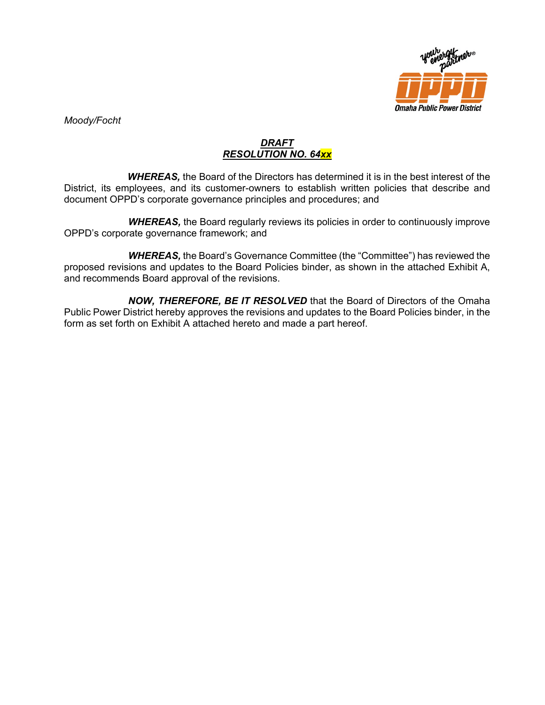

*Moody/Focht*

# *DRAFT RESOLUTION NO. 64xx*

*WHEREAS,* the Board of the Directors has determined it is in the best interest of the District, its employees, and its customer-owners to establish written policies that describe and document OPPD's corporate governance principles and procedures; and

*WHEREAS,* the Board regularly reviews its policies in order to continuously improve OPPD's corporate governance framework; and

*WHEREAS,* the Board's Governance Committee (the "Committee") has reviewed the proposed revisions and updates to the Board Policies binder, as shown in the attached Exhibit A, and recommends Board approval of the revisions.

*NOW, THEREFORE, BE IT RESOLVED* that the Board of Directors of the Omaha Public Power District hereby approves the revisions and updates to the Board Policies binder, in the form as set forth on Exhibit A attached hereto and made a part hereof.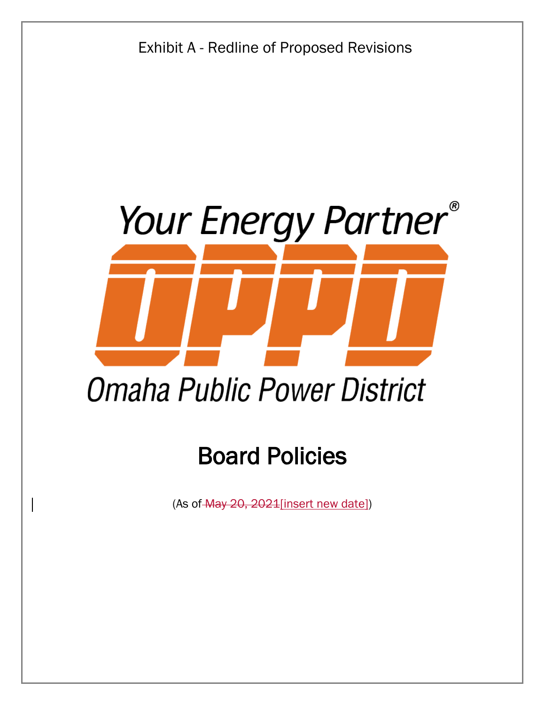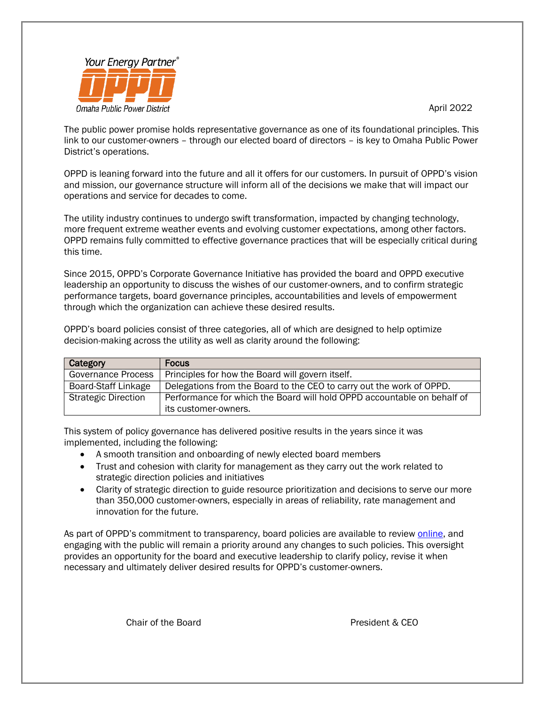#### April 2022



The public power promise holds representative governance as one of its foundational principles. This link to our customer-owners – through our elected board of directors – is key to Omaha Public Power District's operations.

OPPD is leaning forward into the future and all it offers for our customers. In pursuit of OPPD's vision and mission, our governance structure will inform all of the decisions we make that will impact our operations and service for decades to come.

The utility industry continues to undergo swift transformation, impacted by changing technology, more frequent extreme weather events and evolving customer expectations, among other factors. OPPD remains fully committed to effective governance practices that will be especially critical during this time.

Since 2015, OPPD's Corporate Governance Initiative has provided the board and OPPD executive leadership an opportunity to discuss the wishes of our customer-owners, and to confirm strategic performance targets, board governance principles, accountabilities and levels of empowerment through which the organization can achieve these desired results.

OPPD's board policies consist of three categories, all of which are designed to help optimize decision-making across the utility as well as clarity around the following:

| <b>Category</b>            | <b>Focus</b>                                                            |
|----------------------------|-------------------------------------------------------------------------|
| <b>Governance Process</b>  | Principles for how the Board will govern itself.                        |
| Board-Staff Linkage        | Delegations from the Board to the CEO to carry out the work of OPPD.    |
| <b>Strategic Direction</b> | Performance for which the Board will hold OPPD accountable on behalf of |
|                            | its customer-owners.                                                    |

This system of policy governance has delivered positive results in the years since it was implemented, including the following:

- A smooth transition and onboarding of newly elected board members
- Trust and cohesion with clarity for management as they carry out the work related to strategic direction policies and initiatives
- Clarity of strategic direction to guide resource prioritization and decisions to serve our more than 350,000 customer-owners, especially in areas of reliability, rate management and innovation for the future.

As part of OPPD's commitment to transparency, board policies are available to review [online,](http://www.oppd.com/about/leadership/) and engaging with the public will remain a priority around any changes to such policies. This oversight provides an opportunity for the board and executive leadership to clarify policy, revise it when necessary and ultimately deliver desired results for OPPD's customer-owners.

Chair of the Board **President & CEO**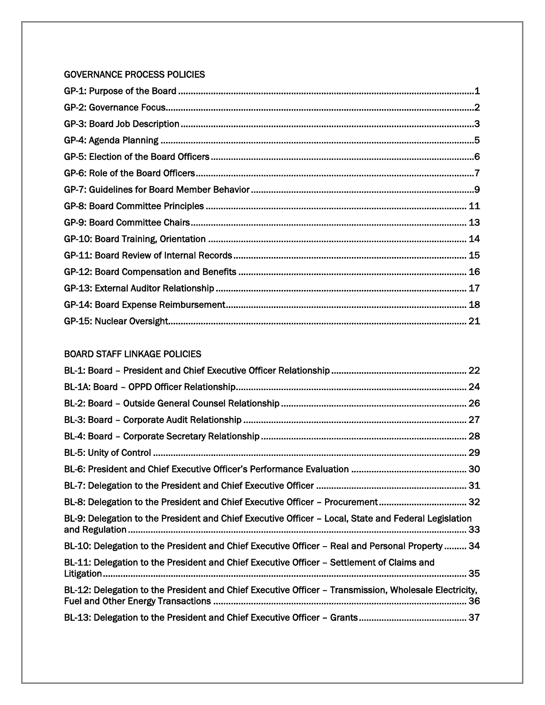# GOVERNANCE PROCESS POLICIES

# BOARD STAFF LINKAGE POLICIES

| BL-9: Delegation to the President and Chief Executive Officer - Local, State and Federal Legislation  |  |
|-------------------------------------------------------------------------------------------------------|--|
| BL-10: Delegation to the President and Chief Executive Officer – Real and Personal Property  34       |  |
| BL-11: Delegation to the President and Chief Executive Officer – Settlement of Claims and             |  |
| BL-12: Delegation to the President and Chief Executive Officer - Transmission, Wholesale Electricity, |  |
|                                                                                                       |  |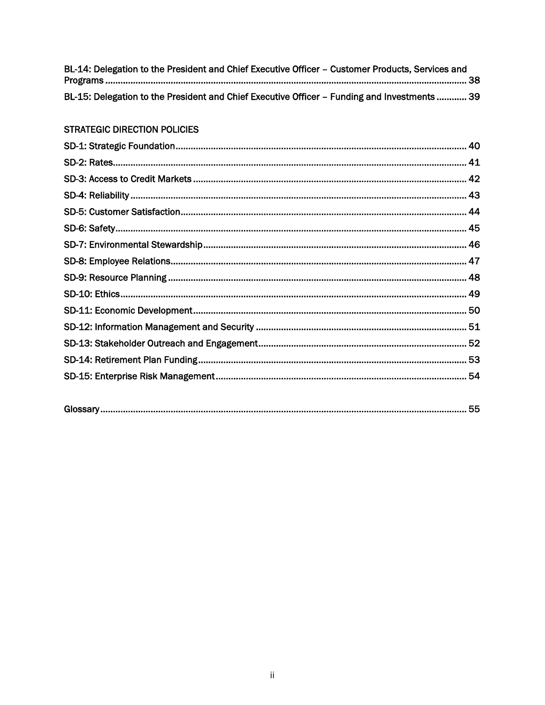| BL-14: Delegation to the President and Chief Executive Officer - Customer Products, Services and |  |
|--------------------------------------------------------------------------------------------------|--|
|                                                                                                  |  |
| BL-15: Delegation to the President and Chief Executive Officer - Funding and Investments  39     |  |

# **STRATEGIC DIRECTION POLICIES**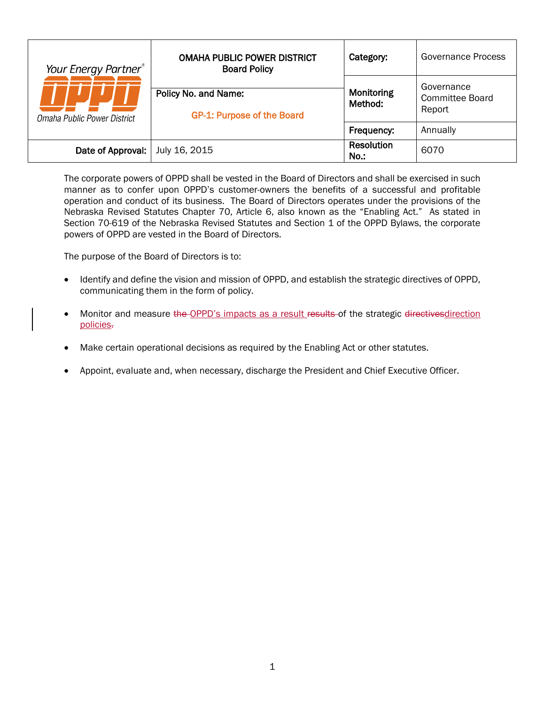| Your Energy Partner <sup>®</sup><br>Omaha Public Power District | <b>OMAHA PUBLIC POWER DISTRICT</b><br><b>Board Policy</b> | Category:             | Governance Process                             |
|-----------------------------------------------------------------|-----------------------------------------------------------|-----------------------|------------------------------------------------|
|                                                                 | Policy No. and Name:<br><b>GP-1: Purpose of the Board</b> | Monitoring<br>Method: | Governance<br><b>Committee Board</b><br>Report |
|                                                                 |                                                           | Frequency:            | Annually                                       |
| Date of Approval:                                               | July 16, 2015                                             | Resolution<br>No.:    | 6070                                           |

<span id="page-6-0"></span>The corporate powers of OPPD shall be vested in the Board of Directors and shall be exercised in such manner as to confer upon OPPD's customer-owners the benefits of a successful and profitable operation and conduct of its business. The Board of Directors operates under the provisions of the Nebraska Revised Statutes Chapter 70, Article 6, also known as the "Enabling Act." As stated in Section 70-619 of the Nebraska Revised Statutes and Section 1 of the OPPD Bylaws, the corporate powers of OPPD are vested in the Board of Directors.

The purpose of the Board of Directors is to:

- Identify and define the vision and mission of OPPD, and establish the strategic directives of OPPD, communicating them in the form of policy.
- Monitor and measure the OPPD's impacts as a result results of the strategic directives direction policies.
- Make certain operational decisions as required by the Enabling Act or other statutes.
- Appoint, evaluate and, when necessary, discharge the President and Chief Executive Officer.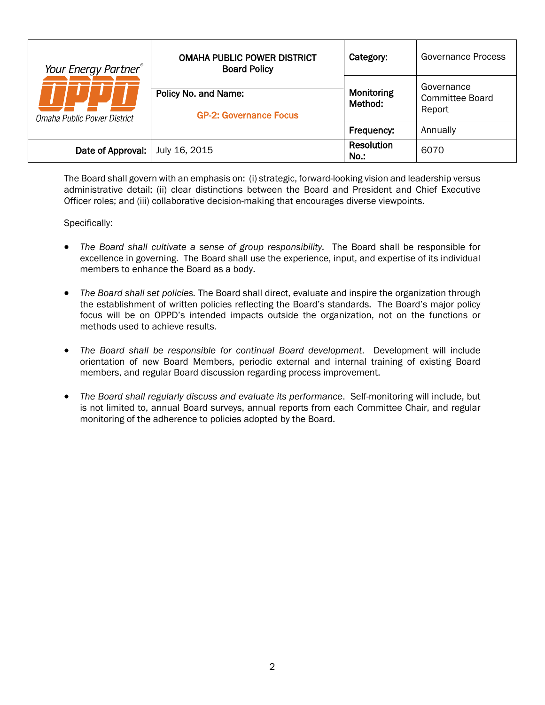| Your Energy Partner®<br>Omaha Public Power District | <b>OMAHA PUBLIC POWER DISTRICT</b><br><b>Board Policy</b> | Category:                 | Governance Process                             |
|-----------------------------------------------------|-----------------------------------------------------------|---------------------------|------------------------------------------------|
|                                                     | Policy No. and Name:<br><b>GP-2: Governance Focus</b>     | Monitoring<br>Method:     | Governance<br><b>Committee Board</b><br>Report |
|                                                     |                                                           | Frequency:                | Annually                                       |
| Date of Approval:                                   | July 16, 2015                                             | <b>Resolution</b><br>No.: | 6070                                           |

<span id="page-7-0"></span>The Board shall govern with an emphasis on: (i) strategic, forward-looking vision and leadership versus administrative detail; (ii) clear distinctions between the Board and President and Chief Executive Officer roles; and (iii) collaborative decision-making that encourages diverse viewpoints.

- *The Board shall cultivate a sense of group responsibility.* The Board shall be responsible for excellence in governing. The Board shall use the experience, input, and expertise of its individual members to enhance the Board as a body.
- *The Board shall set policies.* The Board shall direct, evaluate and inspire the organization through the establishment of written policies reflecting the Board's standards. The Board's major policy focus will be on OPPD's intended impacts outside the organization, not on the functions or methods used to achieve results.
- *The Board shall be responsible for continual Board development*. Development will include orientation of new Board Members, periodic external and internal training of existing Board members, and regular Board discussion regarding process improvement.
- *The Board shall regularly discuss and evaluate its performance*. Self-monitoring will include, but is not limited to, annual Board surveys, annual reports from each Committee Chair, and regular monitoring of the adherence to policies adopted by the Board.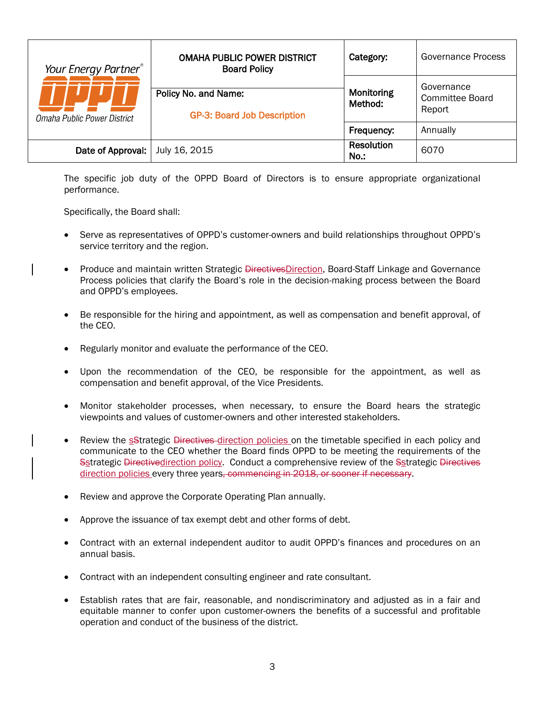| Your Energy Partner®<br>Omaha Public Power District | <b>OMAHA PUBLIC POWER DISTRICT</b><br><b>Board Policy</b>  | Category:                 | Governance Process                             |
|-----------------------------------------------------|------------------------------------------------------------|---------------------------|------------------------------------------------|
|                                                     | Policy No. and Name:<br><b>GP-3: Board Job Description</b> | Monitoring<br>Method:     | Governance<br><b>Committee Board</b><br>Report |
|                                                     |                                                            | Frequency:                | Annually                                       |
| Date of Approval:                                   | July 16, 2015                                              | <b>Resolution</b><br>No.: | 6070                                           |

<span id="page-8-0"></span>The specific job duty of the OPPD Board of Directors is to ensure appropriate organizational performance.

Specifically, the Board shall:

- Serve as representatives of OPPD's customer-owners and build relationships throughout OPPD's service territory and the region.
- Produce and maintain written Strategic *DirectivesDirection*, Board-Staff Linkage and Governance Process policies that clarify the Board's role in the decision-making process between the Board and OPPD's employees.
- Be responsible for the hiring and appointment, as well as compensation and benefit approval, of the CEO.
- Regularly monitor and evaluate the performance of the CEO.
- Upon the recommendation of the CEO, be responsible for the appointment, as well as compensation and benefit approval, of the Vice Presidents.
- Monitor stakeholder processes, when necessary, to ensure the Board hears the strategic viewpoints and values of customer-owners and other interested stakeholders.
- Review the sStrategic Directives direction policies on the timetable specified in each policy and communicate to the CEO whether the Board finds OPPD to be meeting the requirements of the Sstrategic Directivedirection policy. Conduct a comprehensive review of the Sstrategic Directives direction policies every three years, commencing in 2018, or sooner if necessary.
- Review and approve the Corporate Operating Plan annually.
- Approve the issuance of tax exempt debt and other forms of debt.
- Contract with an external independent auditor to audit OPPD's finances and procedures on an annual basis.
- Contract with an independent consulting engineer and rate consultant.
- Establish rates that are fair, reasonable, and nondiscriminatory and adjusted as in a fair and equitable manner to confer upon customer-owners the benefits of a successful and profitable operation and conduct of the business of the district.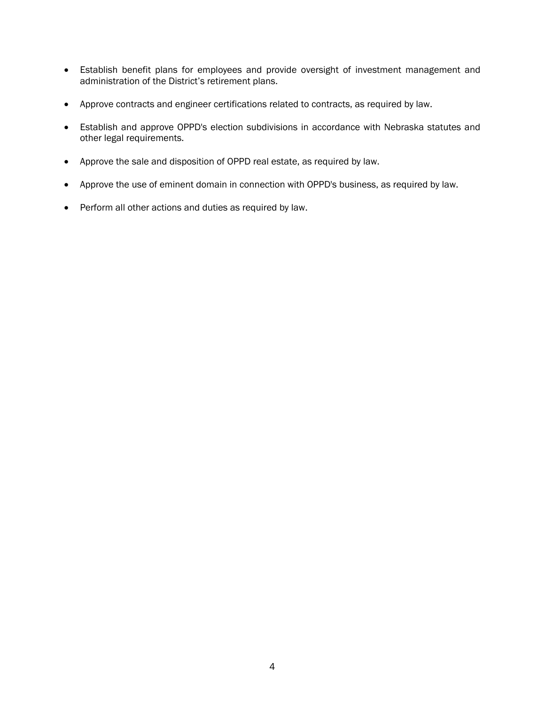- Establish benefit plans for employees and provide oversight of investment management and administration of the District's retirement plans.
- Approve contracts and engineer certifications related to contracts, as required by law.
- Establish and approve OPPD's election subdivisions in accordance with Nebraska statutes and other legal requirements.
- Approve the sale and disposition of OPPD real estate, as required by law.
- Approve the use of eminent domain in connection with OPPD's business, as required by law.
- Perform all other actions and duties as required by law.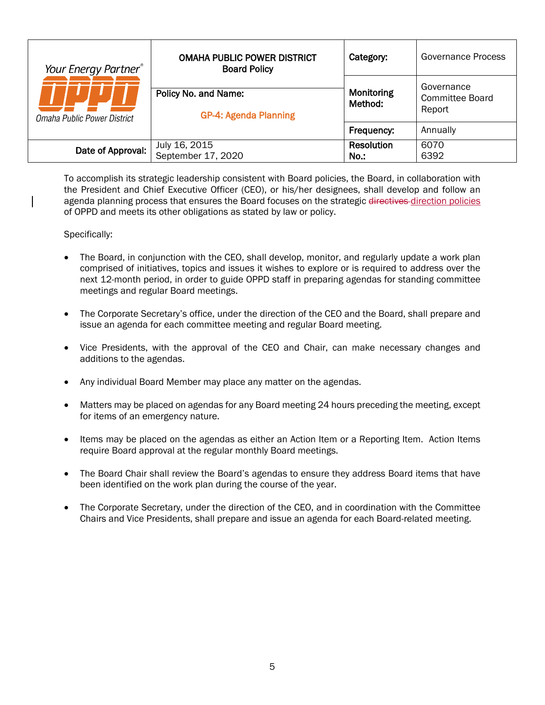| Your Energy Partner <sup>®</sup><br>Omaha Public Power District | <b>OMAHA PUBLIC POWER DISTRICT</b><br><b>Board Policy</b> | Category:                 | Governance Process                             |
|-----------------------------------------------------------------|-----------------------------------------------------------|---------------------------|------------------------------------------------|
|                                                                 | Policy No. and Name:<br><b>GP-4: Agenda Planning</b>      | Monitoring<br>Method:     | Governance<br><b>Committee Board</b><br>Report |
|                                                                 |                                                           | Frequency:                | Annually                                       |
| Date of Approval:                                               | July 16, 2015<br>September 17, 2020                       | <b>Resolution</b><br>No.: | 6070<br>6392                                   |

<span id="page-10-0"></span>To accomplish its strategic leadership consistent with Board policies, the Board, in collaboration with the President and Chief Executive Officer (CEO), or his/her designees, shall develop and follow an agenda planning process that ensures the Board focuses on the strategic directives-direction policies of OPPD and meets its other obligations as stated by law or policy.

- The Board, in conjunction with the CEO, shall develop, monitor, and regularly update a work plan comprised of initiatives, topics and issues it wishes to explore or is required to address over the next 12-month period, in order to guide OPPD staff in preparing agendas for standing committee meetings and regular Board meetings.
- The Corporate Secretary's office, under the direction of the CEO and the Board, shall prepare and issue an agenda for each committee meeting and regular Board meeting.
- Vice Presidents, with the approval of the CEO and Chair, can make necessary changes and additions to the agendas.
- Any individual Board Member may place any matter on the agendas.
- Matters may be placed on agendas for any Board meeting 24 hours preceding the meeting, except for items of an emergency nature.
- Items may be placed on the agendas as either an Action Item or a Reporting Item. Action Items require Board approval at the regular monthly Board meetings.
- The Board Chair shall review the Board's agendas to ensure they address Board items that have been identified on the work plan during the course of the year.
- The Corporate Secretary, under the direction of the CEO, and in coordination with the Committee Chairs and Vice Presidents, shall prepare and issue an agenda for each Board-related meeting.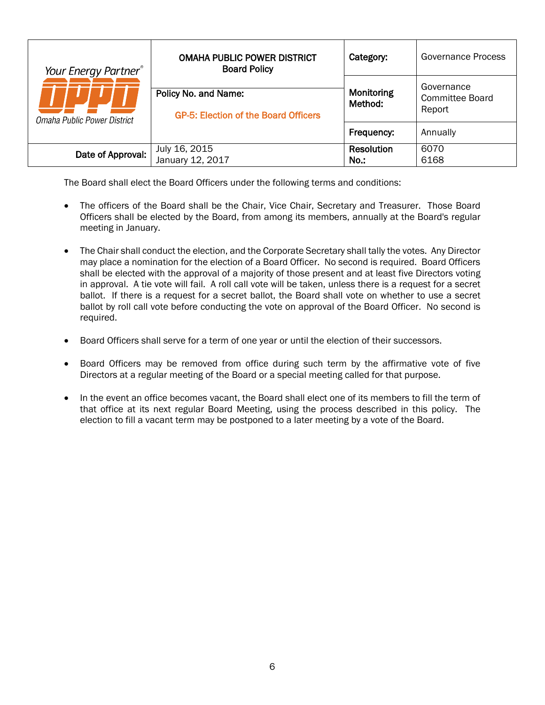| Your Energy Partner®<br>Omaha Public Power District | <b>OMAHA PUBLIC POWER DISTRICT</b><br><b>Board Policy</b>    | Category:                 | <b>Governance Process</b>               |
|-----------------------------------------------------|--------------------------------------------------------------|---------------------------|-----------------------------------------|
|                                                     | Policy No. and Name:<br>GP-5: Election of the Board Officers | Monitoring<br>Method:     | Governance<br>Committee Board<br>Report |
|                                                     |                                                              | Frequency:                | Annually                                |
| Date of Approval:                                   | July 16, 2015<br>January 12, 2017                            | <b>Resolution</b><br>No.: | 6070<br>6168                            |

<span id="page-11-0"></span>The Board shall elect the Board Officers under the following terms and conditions:

- The officers of the Board shall be the Chair, Vice Chair, Secretary and Treasurer. Those Board Officers shall be elected by the Board, from among its members, annually at the Board's regular meeting in January.
- The Chair shall conduct the election, and the Corporate Secretary shall tally the votes. Any Director may place a nomination for the election of a Board Officer. No second is required. Board Officers shall be elected with the approval of a majority of those present and at least five Directors voting in approval. A tie vote will fail. A roll call vote will be taken, unless there is a request for a secret ballot. If there is a request for a secret ballot, the Board shall vote on whether to use a secret ballot by roll call vote before conducting the vote on approval of the Board Officer. No second is required.
- Board Officers shall serve for a term of one year or until the election of their successors.
- Board Officers may be removed from office during such term by the affirmative vote of five Directors at a regular meeting of the Board or a special meeting called for that purpose.
- In the event an office becomes vacant, the Board shall elect one of its members to fill the term of that office at its next regular Board Meeting, using the process described in this policy. The election to fill a vacant term may be postponed to a later meeting by a vote of the Board.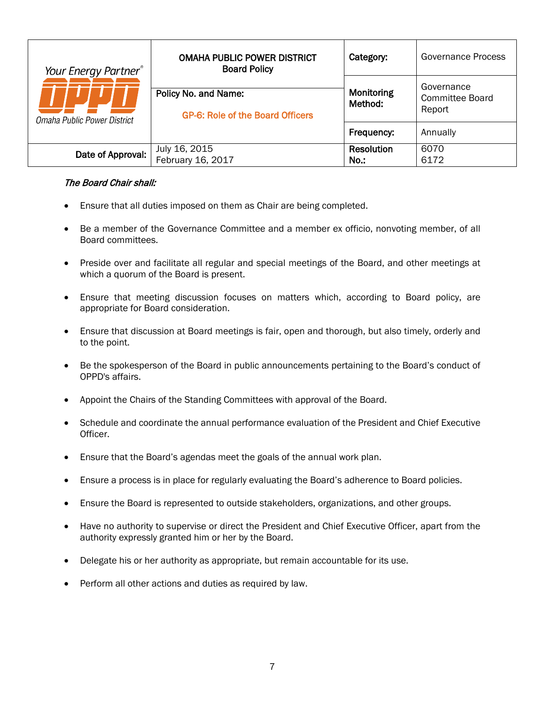| Your Energy Partner®<br>Omaha Public Power District | <b>OMAHA PUBLIC POWER DISTRICT</b><br><b>Board Policy</b>       | Category:                 | Governance Process                             |
|-----------------------------------------------------|-----------------------------------------------------------------|---------------------------|------------------------------------------------|
|                                                     | Policy No. and Name:<br><b>GP-6: Role of the Board Officers</b> | Monitoring<br>Method:     | Governance<br><b>Committee Board</b><br>Report |
|                                                     |                                                                 | Frequency:                | Annually                                       |
| Date of Approval:                                   | July 16, 2015<br>February 16, 2017                              | <b>Resolution</b><br>No.: | 6070<br>6172                                   |

#### <span id="page-12-0"></span>The Board Chair shall:

- Ensure that all duties imposed on them as Chair are being completed.
- Be a member of the Governance Committee and a member ex officio, nonvoting member, of all Board committees.
- Preside over and facilitate all regular and special meetings of the Board, and other meetings at which a quorum of the Board is present.
- Ensure that meeting discussion focuses on matters which, according to Board policy, are appropriate for Board consideration.
- Ensure that discussion at Board meetings is fair, open and thorough, but also timely, orderly and to the point.
- Be the spokesperson of the Board in public announcements pertaining to the Board's conduct of OPPD's affairs.
- Appoint the Chairs of the Standing Committees with approval of the Board.
- Schedule and coordinate the annual performance evaluation of the President and Chief Executive Officer.
- Ensure that the Board's agendas meet the goals of the annual work plan.
- Ensure a process is in place for regularly evaluating the Board's adherence to Board policies.
- Ensure the Board is represented to outside stakeholders, organizations, and other groups.
- Have no authority to supervise or direct the President and Chief Executive Officer, apart from the authority expressly granted him or her by the Board.
- Delegate his or her authority as appropriate, but remain accountable for its use.
- Perform all other actions and duties as required by law.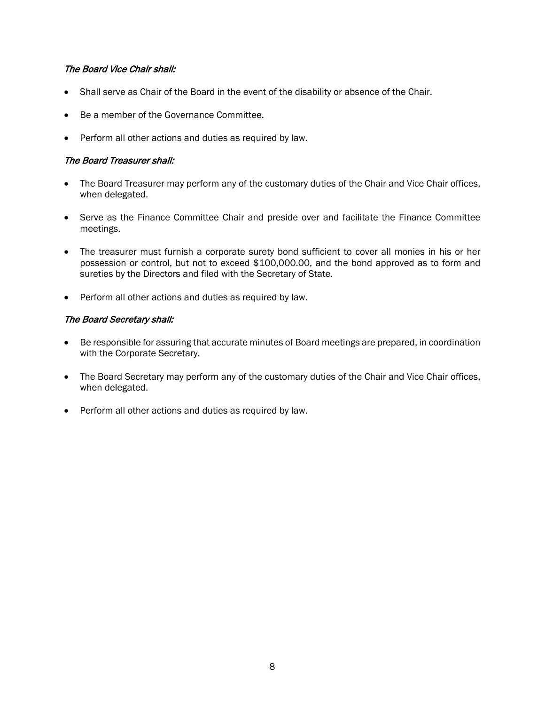# The Board Vice Chair shall:

- Shall serve as Chair of the Board in the event of the disability or absence of the Chair.
- Be a member of the Governance Committee.
- Perform all other actions and duties as required by law.

#### The Board Treasurer shall:

- The Board Treasurer may perform any of the customary duties of the Chair and Vice Chair offices, when delegated.
- Serve as the Finance Committee Chair and preside over and facilitate the Finance Committee meetings.
- The treasurer must furnish a corporate surety bond sufficient to cover all monies in his or her possession or control, but not to exceed \$100,000.00, and the bond approved as to form and sureties by the Directors and filed with the Secretary of State.
- Perform all other actions and duties as required by law.

#### The Board Secretary shall:

- Be responsible for assuring that accurate minutes of Board meetings are prepared, in coordination with the Corporate Secretary.
- The Board Secretary may perform any of the customary duties of the Chair and Vice Chair offices, when delegated.
- Perform all other actions and duties as required by law.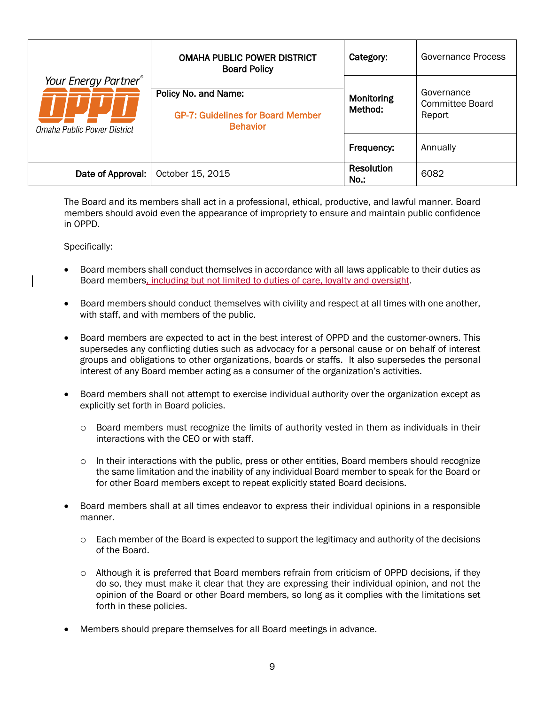| Your Energy Partner®<br>Omaha Public Power District | <b>OMAHA PUBLIC POWER DISTRICT</b><br><b>Board Policy</b>                           | Category:                 | Governance Process                      |
|-----------------------------------------------------|-------------------------------------------------------------------------------------|---------------------------|-----------------------------------------|
|                                                     | Policy No. and Name:<br><b>GP-7: Guidelines for Board Member</b><br><b>Behavior</b> | Monitoring<br>Method:     | Governance<br>Committee Board<br>Report |
|                                                     |                                                                                     | Frequency:                | Annually                                |
| Date of Approval:                                   | October 15, 2015                                                                    | <b>Resolution</b><br>No.: | 6082                                    |

<span id="page-14-0"></span>The Board and its members shall act in a professional, ethical, productive, and lawful manner. Board members should avoid even the appearance of impropriety to ensure and maintain public confidence in OPPD.

- Board members shall conduct themselves in accordance with all laws applicable to their duties as Board members, including but not limited to duties of care, loyalty and oversight.
- Board members should conduct themselves with civility and respect at all times with one another, with staff, and with members of the public.
- Board members are expected to act in the best interest of OPPD and the customer-owners. This supersedes any conflicting duties such as advocacy for a personal cause or on behalf of interest groups and obligations to other organizations, boards or staffs. It also supersedes the personal interest of any Board member acting as a consumer of the organization's activities.
- Board members shall not attempt to exercise individual authority over the organization except as explicitly set forth in Board policies.
	- $\circ$  Board members must recognize the limits of authority vested in them as individuals in their interactions with the CEO or with staff.
	- $\circ$  In their interactions with the public, press or other entities, Board members should recognize the same limitation and the inability of any individual Board member to speak for the Board or for other Board members except to repeat explicitly stated Board decisions.
- Board members shall at all times endeavor to express their individual opinions in a responsible manner.
	- $\circ$  Each member of the Board is expected to support the legitimacy and authority of the decisions of the Board.
	- $\circ$  Although it is preferred that Board members refrain from criticism of OPPD decisions, if they do so, they must make it clear that they are expressing their individual opinion, and not the opinion of the Board or other Board members, so long as it complies with the limitations set forth in these policies.
- Members should prepare themselves for all Board meetings in advance.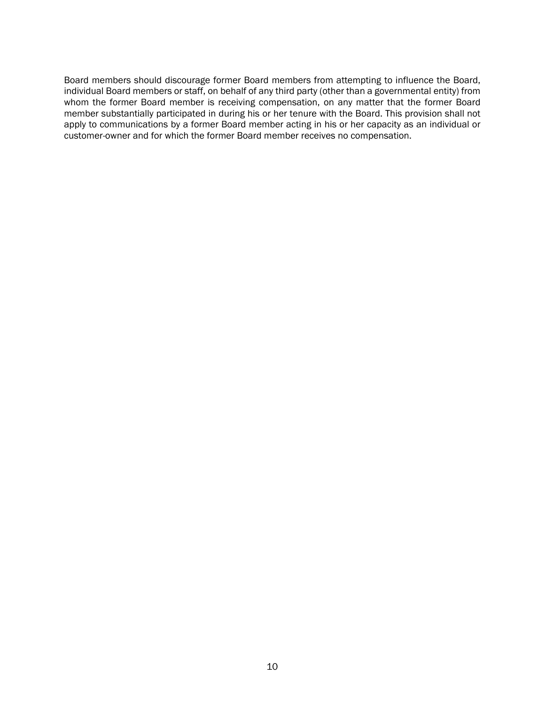Board members should discourage former Board members from attempting to influence the Board, individual Board members or staff, on behalf of any third party (other than a governmental entity) from whom the former Board member is receiving compensation, on any matter that the former Board member substantially participated in during his or her tenure with the Board. This provision shall not apply to communications by a former Board member acting in his or her capacity as an individual or customer-owner and for which the former Board member receives no compensation.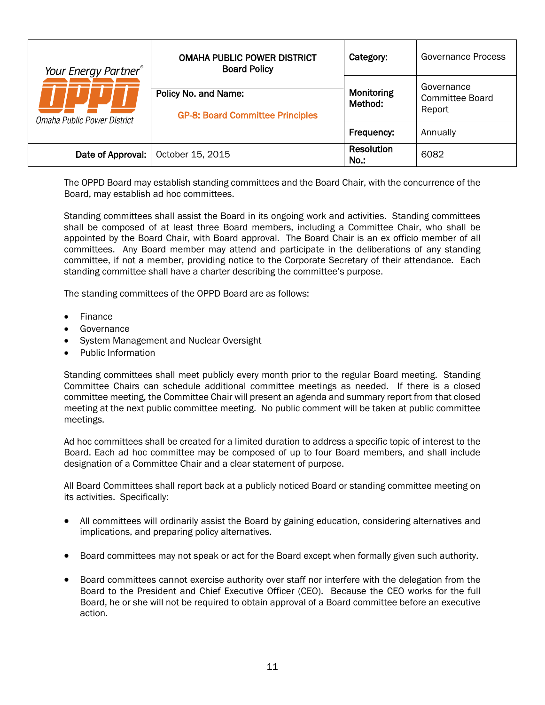| Your Energy Partner <sup>®</sup><br>Omaha Public Power District | <b>OMAHA PUBLIC POWER DISTRICT</b><br><b>Board Policy</b>       | Category:                 | Governance Process                      |
|-----------------------------------------------------------------|-----------------------------------------------------------------|---------------------------|-----------------------------------------|
|                                                                 | Policy No. and Name:<br><b>GP-8: Board Committee Principles</b> | Monitoring<br>Method:     | Governance<br>Committee Board<br>Report |
|                                                                 |                                                                 | Frequency:                | Annually                                |
| Date of Approval:                                               | October 15, 2015                                                | <b>Resolution</b><br>No.: | 6082                                    |

<span id="page-16-0"></span>The OPPD Board may establish standing committees and the Board Chair, with the concurrence of the Board, may establish ad hoc committees.

Standing committees shall assist the Board in its ongoing work and activities. Standing committees shall be composed of at least three Board members, including a Committee Chair, who shall be appointed by the Board Chair, with Board approval. The Board Chair is an ex officio member of all committees. Any Board member may attend and participate in the deliberations of any standing committee, if not a member, providing notice to the Corporate Secretary of their attendance. Each standing committee shall have a charter describing the committee's purpose.

The standing committees of the OPPD Board are as follows:

- Finance
- **Governance**
- System Management and Nuclear Oversight
- Public Information

Standing committees shall meet publicly every month prior to the regular Board meeting. Standing Committee Chairs can schedule additional committee meetings as needed. If there is a closed committee meeting, the Committee Chair will present an agenda and summary report from that closed meeting at the next public committee meeting. No public comment will be taken at public committee meetings.

Ad hoc committees shall be created for a limited duration to address a specific topic of interest to the Board. Each ad hoc committee may be composed of up to four Board members, and shall include designation of a Committee Chair and a clear statement of purpose.

All Board Committees shall report back at a publicly noticed Board or standing committee meeting on its activities. Specifically:

- All committees will ordinarily assist the Board by gaining education, considering alternatives and implications, and preparing policy alternatives.
- Board committees may not speak or act for the Board except when formally given such authority.
- Board committees cannot exercise authority over staff nor interfere with the delegation from the Board to the President and Chief Executive Officer (CEO). Because the CEO works for the full Board, he or she will not be required to obtain approval of a Board committee before an executive action.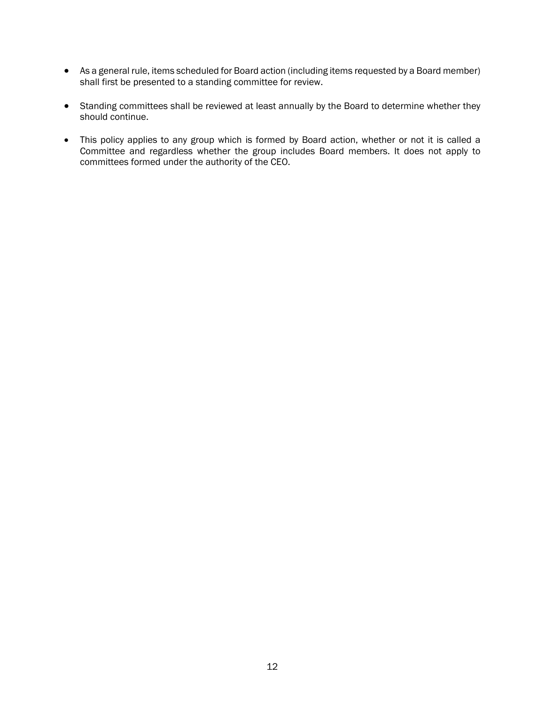- As a general rule, items scheduled for Board action (including items requested by a Board member) shall first be presented to a standing committee for review.
- Standing committees shall be reviewed at least annually by the Board to determine whether they should continue.
- This policy applies to any group which is formed by Board action, whether or not it is called a Committee and regardless whether the group includes Board members. It does not apply to committees formed under the authority of the CEO.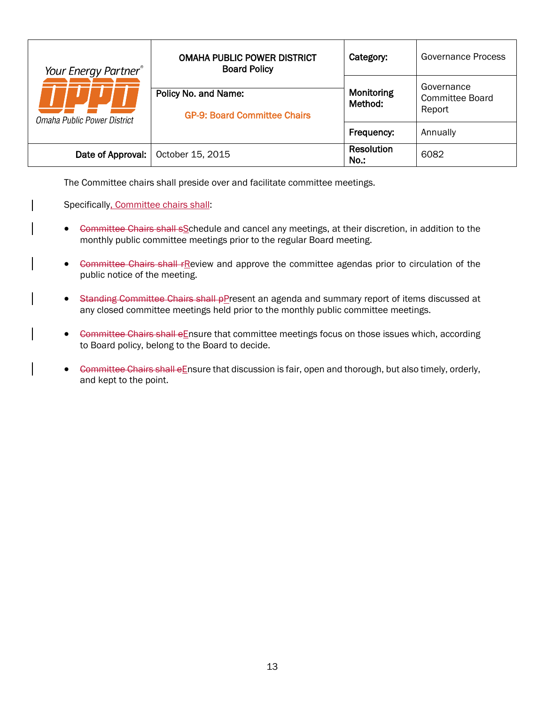| Your Energy Partner <sup>®</sup><br>Omaha Public Power District | <b>OMAHA PUBLIC POWER DISTRICT</b><br><b>Board Policy</b>   | Category:                 | Governance Process                             |
|-----------------------------------------------------------------|-------------------------------------------------------------|---------------------------|------------------------------------------------|
|                                                                 | Policy No. and Name:<br><b>GP-9: Board Committee Chairs</b> | Monitoring<br>Method:     | Governance<br><b>Committee Board</b><br>Report |
|                                                                 |                                                             | Frequency:                | Annually                                       |
| Date of Approval:                                               | October 15, 2015                                            | <b>Resolution</b><br>No.: | 6082                                           |

<span id="page-18-0"></span>The Committee chairs shall preside over and facilitate committee meetings.

Specifically, Committee chairs shall:

- Gommittee Chairs shall sSchedule and cancel any meetings, at their discretion, in addition to the monthly public committee meetings prior to the regular Board meeting.
- Committee Chairs shall rReview and approve the committee agendas prior to circulation of the public notice of the meeting.
- Standing Committee Chairs shall pPresent an agenda and summary report of items discussed at any closed committee meetings held prior to the monthly public committee meetings.
- Committee Chairs shall eEnsure that committee meetings focus on those issues which, according to Board policy, belong to the Board to decide.
- Committee Chairs shall eEnsure that discussion is fair, open and thorough, but also timely, orderly, and kept to the point.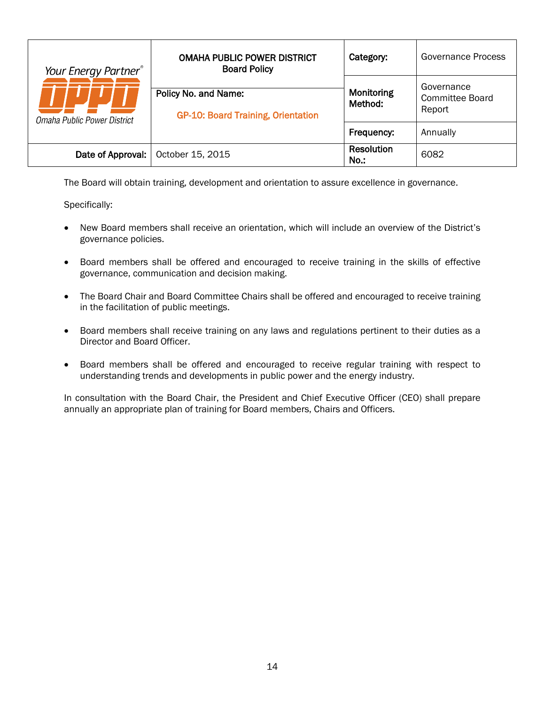| Your Energy Partner®<br>Omaha Public Power District | <b>OMAHA PUBLIC POWER DISTRICT</b><br><b>Board Policy</b>         | Category:                 | Governance Process                             |
|-----------------------------------------------------|-------------------------------------------------------------------|---------------------------|------------------------------------------------|
|                                                     | Policy No. and Name:<br><b>GP-10: Board Training, Orientation</b> | Monitoring<br>Method:     | Governance<br><b>Committee Board</b><br>Report |
|                                                     |                                                                   | Frequency:                | Annually                                       |
| Date of Approval:                                   | October 15, 2015                                                  | <b>Resolution</b><br>No.: | 6082                                           |

<span id="page-19-0"></span>The Board will obtain training, development and orientation to assure excellence in governance.

Specifically:

- New Board members shall receive an orientation, which will include an overview of the District's governance policies.
- Board members shall be offered and encouraged to receive training in the skills of effective governance, communication and decision making.
- The Board Chair and Board Committee Chairs shall be offered and encouraged to receive training in the facilitation of public meetings.
- Board members shall receive training on any laws and regulations pertinent to their duties as a Director and Board Officer.
- Board members shall be offered and encouraged to receive regular training with respect to understanding trends and developments in public power and the energy industry.

In consultation with the Board Chair, the President and Chief Executive Officer (CEO) shall prepare annually an appropriate plan of training for Board members, Chairs and Officers.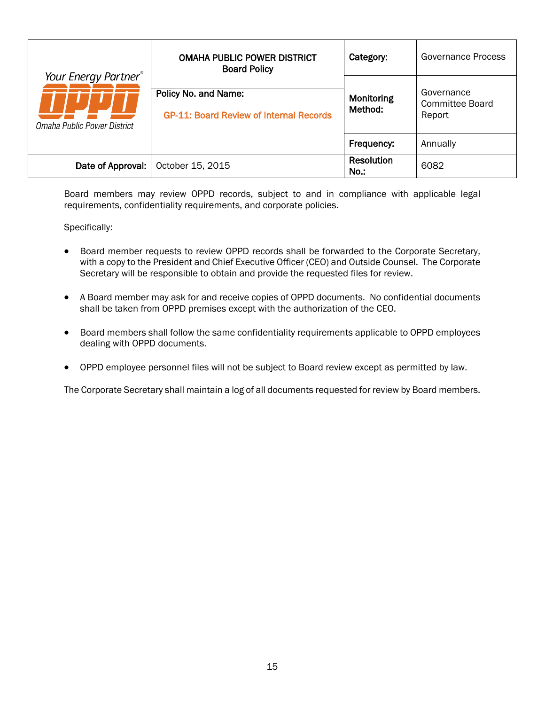|                                                                 | <b>OMAHA PUBLIC POWER DISTRICT</b><br><b>Board Policy</b>              | Category:                 | Governance Process                             |
|-----------------------------------------------------------------|------------------------------------------------------------------------|---------------------------|------------------------------------------------|
| Your Energy Partner <sup>®</sup><br>Omaha Public Power District | Policy No. and Name:<br><b>GP-11: Board Review of Internal Records</b> | Monitoring<br>Method:     | Governance<br><b>Committee Board</b><br>Report |
|                                                                 |                                                                        | Frequency:                | Annually                                       |
| Date of Approval:                                               | October 15, 2015                                                       | <b>Resolution</b><br>No.: | 6082                                           |

<span id="page-20-0"></span>Board members may review OPPD records, subject to and in compliance with applicable legal requirements, confidentiality requirements, and corporate policies.

Specifically:

- Board member requests to review OPPD records shall be forwarded to the Corporate Secretary, with a copy to the President and Chief Executive Officer (CEO) and Outside Counsel. The Corporate Secretary will be responsible to obtain and provide the requested files for review.
- A Board member may ask for and receive copies of OPPD documents. No confidential documents shall be taken from OPPD premises except with the authorization of the CEO.
- Board members shall follow the same confidentiality requirements applicable to OPPD employees dealing with OPPD documents.
- OPPD employee personnel files will not be subject to Board review except as permitted by law.

The Corporate Secretary shall maintain a log of all documents requested for review by Board members.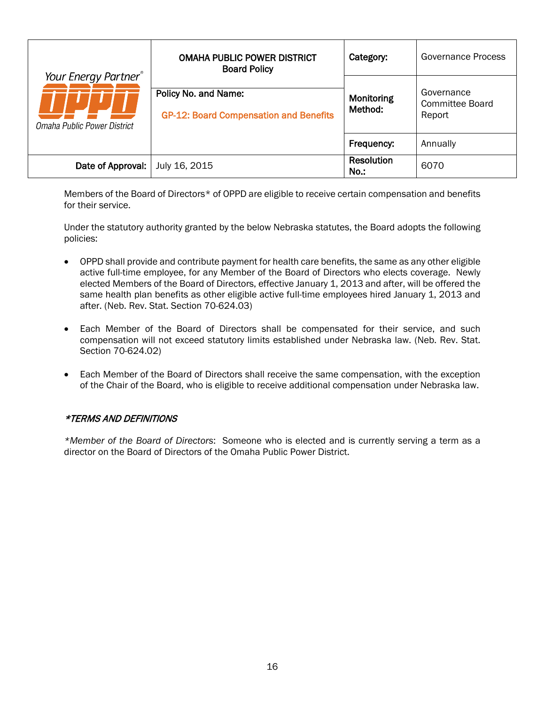|                                                     | <b>OMAHA PUBLIC POWER DISTRICT</b><br><b>Board Policy</b>             | Category:                    | <b>Governance Process</b>                      |
|-----------------------------------------------------|-----------------------------------------------------------------------|------------------------------|------------------------------------------------|
| Your Energy Partner®<br>Omaha Public Power District | Policy No. and Name:<br><b>GP-12: Board Compensation and Benefits</b> | Monitoring<br>Method:        | Governance<br><b>Committee Board</b><br>Report |
|                                                     |                                                                       | Frequency:                   | Annually                                       |
| Date of Approval:                                   | July 16, 2015                                                         | <b>Resolution</b><br>$No.$ : | 6070                                           |

<span id="page-21-0"></span>Members of the Board of Directors\* of OPPD are eligible to receive certain compensation and benefits for their service.

Under the statutory authority granted by the below Nebraska statutes, the Board adopts the following policies:

- OPPD shall provide and contribute payment for health care benefits, the same as any other eligible active full-time employee, for any Member of the Board of Directors who elects coverage. Newly elected Members of the Board of Directors, effective January 1, 2013 and after, will be offered the same health plan benefits as other eligible active full-time employees hired January 1, 2013 and after. (Neb. Rev. Stat. Section 70-624.03)
- Each Member of the Board of Directors shall be compensated for their service, and such compensation will not exceed statutory limits established under Nebraska law. (Neb. Rev. Stat. Section 70-624.02)
- Each Member of the Board of Directors shall receive the same compensation, with the exception of the Chair of the Board, who is eligible to receive additional compensation under Nebraska law.

# \*TERMS AND DEFINITIONS

*\*Member of the Board of Directors*: Someone who is elected and is currently serving a term as a director on the Board of Directors of the Omaha Public Power District.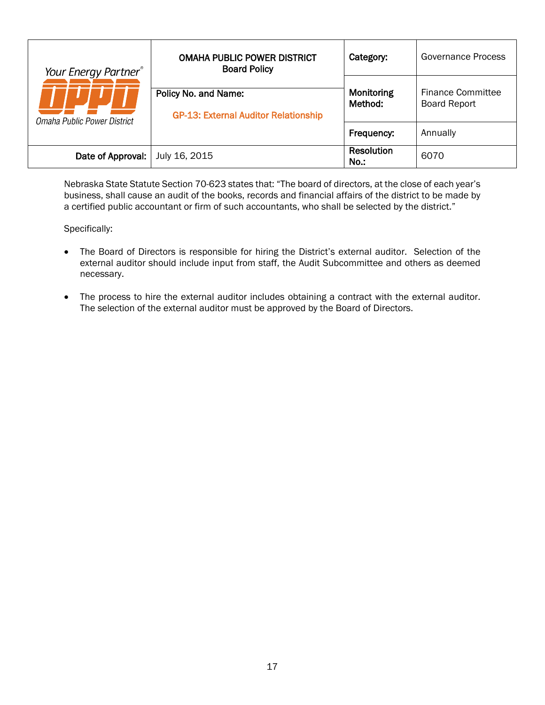| Your Energy Partner <sup>®</sup><br>Omaha Public Power District | <b>OMAHA PUBLIC POWER DISTRICT</b><br><b>Board Policy</b>           | Category:                 | Governance Process                              |
|-----------------------------------------------------------------|---------------------------------------------------------------------|---------------------------|-------------------------------------------------|
|                                                                 | Policy No. and Name:<br><b>GP-13: External Auditor Relationship</b> | Monitoring<br>Method:     | <b>Finance Committee</b><br><b>Board Report</b> |
|                                                                 |                                                                     | Frequency:                | Annually                                        |
| Date of Approval:                                               | July 16, 2015                                                       | <b>Resolution</b><br>No.: | 6070                                            |

<span id="page-22-0"></span>Nebraska State Statute Section 70-623 states that: "The board of directors, at the close of each year's business, shall cause an audit of the books, records and financial affairs of the district to be made by a certified public accountant or firm of such accountants, who shall be selected by the district."

- The Board of Directors is responsible for hiring the District's external auditor. Selection of the external auditor should include input from staff, the Audit Subcommittee and others as deemed necessary.
- The process to hire the external auditor includes obtaining a contract with the external auditor. The selection of the external auditor must be approved by the Board of Directors.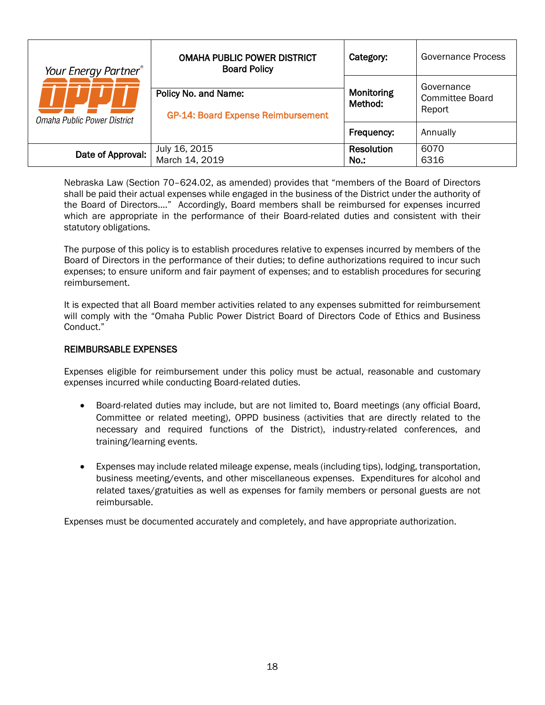| Your Energy Partner <sup>®</sup><br>Omaha Public Power District | <b>OMAHA PUBLIC POWER DISTRICT</b><br><b>Board Policy</b>         | Category:                 | Governance Process                             |
|-----------------------------------------------------------------|-------------------------------------------------------------------|---------------------------|------------------------------------------------|
|                                                                 | Policy No. and Name:<br><b>GP-14: Board Expense Reimbursement</b> | Monitoring<br>Method:     | Governance<br><b>Committee Board</b><br>Report |
|                                                                 |                                                                   | Frequency:                | Annually                                       |
| Date of Approval:                                               | July 16, 2015<br>March 14, 2019                                   | <b>Resolution</b><br>No.: | 6070<br>6316                                   |

<span id="page-23-0"></span>Nebraska Law (Section 70–624.02, as amended) provides that "members of the Board of Directors shall be paid their actual expenses while engaged in the business of the District under the authority of the Board of Directors...." Accordingly, Board members shall be reimbursed for expenses incurred which are appropriate in the performance of their Board-related duties and consistent with their statutory obligations.

The purpose of this policy is to establish procedures relative to expenses incurred by members of the Board of Directors in the performance of their duties; to define authorizations required to incur such expenses; to ensure uniform and fair payment of expenses; and to establish procedures for securing reimbursement.

It is expected that all Board member activities related to any expenses submitted for reimbursement will comply with the "Omaha Public Power District Board of Directors Code of Ethics and Business Conduct."

#### REIMBURSABLE EXPENSES

Expenses eligible for reimbursement under this policy must be actual, reasonable and customary expenses incurred while conducting Board-related duties.

- Board-related duties may include, but are not limited to, Board meetings (any official Board, Committee or related meeting), OPPD business (activities that are directly related to the necessary and required functions of the District), industry-related conferences, and training/learning events.
- Expenses may include related mileage expense, meals (including tips), lodging, transportation, business meeting/events, and other miscellaneous expenses. Expenditures for alcohol and related taxes/gratuities as well as expenses for family members or personal guests are not reimbursable.

Expenses must be documented accurately and completely, and have appropriate authorization.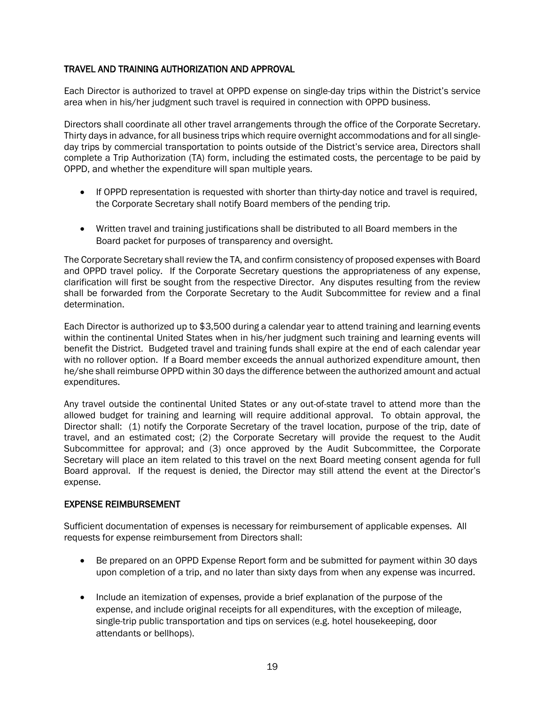# TRAVEL AND TRAINING AUTHORIZATION AND APPROVAL

Each Director is authorized to travel at OPPD expense on single-day trips within the District's service area when in his/her judgment such travel is required in connection with OPPD business.

Directors shall coordinate all other travel arrangements through the office of the Corporate Secretary. Thirty days in advance, for all business trips which require overnight accommodations and for all singleday trips by commercial transportation to points outside of the District's service area, Directors shall complete a Trip Authorization (TA) form, including the estimated costs, the percentage to be paid by OPPD, and whether the expenditure will span multiple years.

- If OPPD representation is requested with shorter than thirty-day notice and travel is required, the Corporate Secretary shall notify Board members of the pending trip.
- Written travel and training justifications shall be distributed to all Board members in the Board packet for purposes of transparency and oversight.

The Corporate Secretary shall review the TA, and confirm consistency of proposed expenses with Board and OPPD travel policy. If the Corporate Secretary questions the appropriateness of any expense, clarification will first be sought from the respective Director. Any disputes resulting from the review shall be forwarded from the Corporate Secretary to the Audit Subcommittee for review and a final determination.

Each Director is authorized up to \$3,500 during a calendar year to attend training and learning events within the continental United States when in his/her judgment such training and learning events will benefit the District. Budgeted travel and training funds shall expire at the end of each calendar year with no rollover option. If a Board member exceeds the annual authorized expenditure amount, then he/she shall reimburse OPPD within 30 days the difference between the authorized amount and actual expenditures.

Any travel outside the continental United States or any out-of-state travel to attend more than the allowed budget for training and learning will require additional approval. To obtain approval, the Director shall: (1) notify the Corporate Secretary of the travel location, purpose of the trip, date of travel, and an estimated cost; (2) the Corporate Secretary will provide the request to the Audit Subcommittee for approval; and (3) once approved by the Audit Subcommittee, the Corporate Secretary will place an item related to this travel on the next Board meeting consent agenda for full Board approval. If the request is denied, the Director may still attend the event at the Director's expense.

# EXPENSE REIMBURSEMENT

Sufficient documentation of expenses is necessary for reimbursement of applicable expenses. All requests for expense reimbursement from Directors shall:

- Be prepared on an OPPD Expense Report form and be submitted for payment within 30 days upon completion of a trip, and no later than sixty days from when any expense was incurred.
- Include an itemization of expenses, provide a brief explanation of the purpose of the expense, and include original receipts for all expenditures, with the exception of mileage, single-trip public transportation and tips on services (e.g. hotel housekeeping, door attendants or bellhops).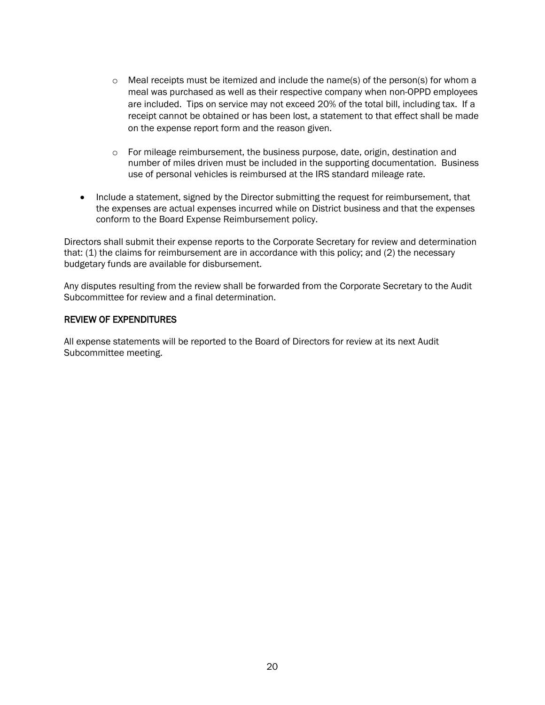- $\circ$  Meal receipts must be itemized and include the name(s) of the person(s) for whom a meal was purchased as well as their respective company when non-OPPD employees are included. Tips on service may not exceed 20% of the total bill, including tax. If a receipt cannot be obtained or has been lost, a statement to that effect shall be made on the expense report form and the reason given.
- $\circ$  For mileage reimbursement, the business purpose, date, origin, destination and number of miles driven must be included in the supporting documentation. Business use of personal vehicles is reimbursed at the IRS standard mileage rate.
- Include a statement, signed by the Director submitting the request for reimbursement, that the expenses are actual expenses incurred while on District business and that the expenses conform to the Board Expense Reimbursement policy.

Directors shall submit their expense reports to the Corporate Secretary for review and determination that: (1) the claims for reimbursement are in accordance with this policy; and (2) the necessary budgetary funds are available for disbursement.

Any disputes resulting from the review shall be forwarded from the Corporate Secretary to the Audit Subcommittee for review and a final determination.

#### REVIEW OF EXPENDITURES

All expense statements will be reported to the Board of Directors for review at its next Audit Subcommittee meeting.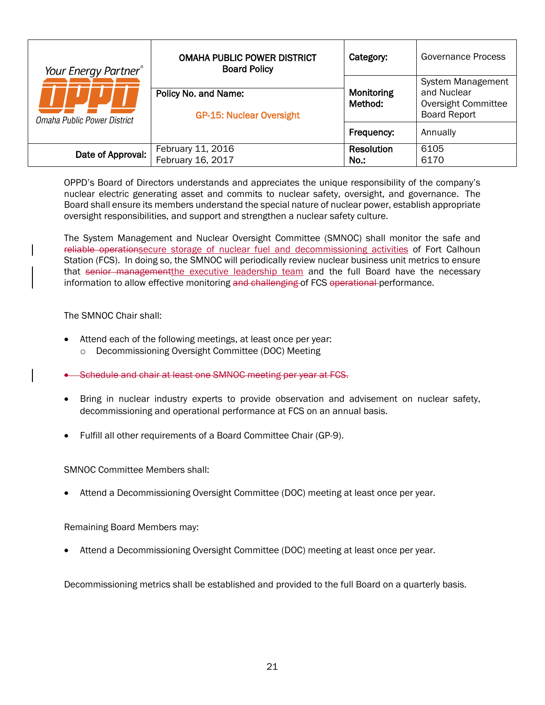| Your Energy Partner®        | <b>OMAHA PUBLIC POWER DISTRICT</b><br><b>Board Policy</b> | Category:             | Governance Process                                                                           |
|-----------------------------|-----------------------------------------------------------|-----------------------|----------------------------------------------------------------------------------------------|
| Omaha Public Power District | Policy No. and Name:<br><b>GP-15: Nuclear Oversight</b>   | Monitoring<br>Method: | <b>System Management</b><br>and Nuclear<br><b>Oversight Committee</b><br><b>Board Report</b> |
|                             |                                                           | Frequency:            | Annually                                                                                     |
| Date of Approval:           | February 11, 2016<br>February 16, 2017                    | Resolution<br>No.:    | 6105<br>6170                                                                                 |

<span id="page-26-0"></span>OPPD's Board of Directors understands and appreciates the unique responsibility of the company's nuclear electric generating asset and commits to nuclear safety, oversight, and governance. The Board shall ensure its members understand the special nature of nuclear power, establish appropriate oversight responsibilities, and support and strengthen a nuclear safety culture.

The System Management and Nuclear Oversight Committee (SMNOC) shall monitor the safe and reliable operationsecure storage of nuclear fuel and decommissioning activities of Fort Calhoun Station (FCS). In doing so, the SMNOC will periodically review nuclear business unit metrics to ensure that senior management the executive leadership team and the full Board have the necessary information to allow effective monitoring and challenging of FCS operational performance.

The SMNOC Chair shall:

- Attend each of the following meetings, at least once per year:
	- o Decommissioning Oversight Committee (DOC) Meeting
- Schedule and chair at least one SMNOC meeting per year at FCS.
- Bring in nuclear industry experts to provide observation and advisement on nuclear safety, decommissioning and operational performance at FCS on an annual basis.
- Fulfill all other requirements of a Board Committee Chair (GP-9).

SMNOC Committee Members shall:

• Attend a Decommissioning Oversight Committee (DOC) meeting at least once per year.

Remaining Board Members may:

• Attend a Decommissioning Oversight Committee (DOC) meeting at least once per year.

Decommissioning metrics shall be established and provided to the full Board on a quarterly basis.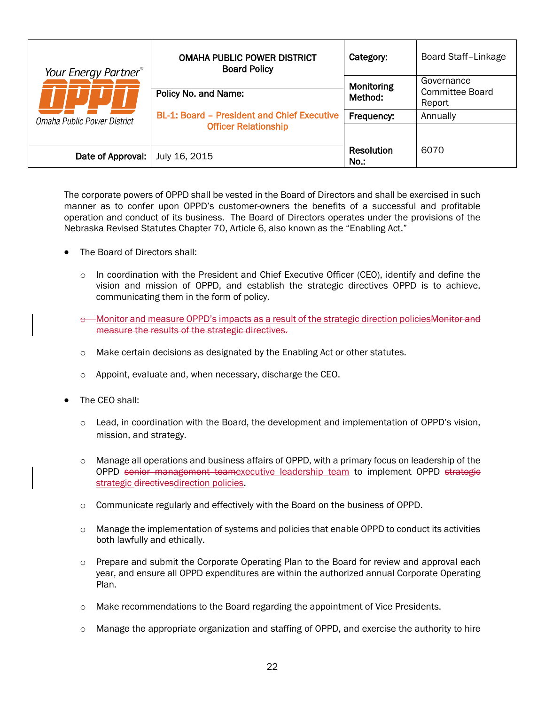| Your Energy Partner®        | <b>OMAHA PUBLIC POWER DISTRICT</b><br><b>Board Policy</b> | Category:                 | Board Staff-Linkage |
|-----------------------------|-----------------------------------------------------------|---------------------------|---------------------|
|                             |                                                           | Monitoring                | Governance          |
|                             | Policy No. and Name:                                      | Method:                   | Committee Board     |
|                             |                                                           |                           | Report              |
| Omaha Public Power District | <b>BL-1: Board - President and Chief Executive</b>        | Frequency:                | Annually            |
|                             | <b>Officer Relationship</b>                               |                           |                     |
|                             |                                                           |                           |                     |
| Date of Approval:           | July 16, 2015                                             | <b>Resolution</b><br>No.: | 6070                |

<span id="page-27-0"></span>The corporate powers of OPPD shall be vested in the Board of Directors and shall be exercised in such manner as to confer upon OPPD's customer-owners the benefits of a successful and profitable operation and conduct of its business. The Board of Directors operates under the provisions of the Nebraska Revised Statutes Chapter 70, Article 6, also known as the "Enabling Act."

- The Board of Directors shall:
	- $\circ$  In coordination with the President and Chief Executive Officer (CEO), identify and define the vision and mission of OPPD, and establish the strategic directives OPPD is to achieve, communicating them in the form of policy.
	- $\epsilon$ —Monitor and measure OPPD's impacts as a result of the strategic direction policies Monitor and measure the results of the strategic directives.
	- o Make certain decisions as designated by the Enabling Act or other statutes.
	- o Appoint, evaluate and, when necessary, discharge the CEO.
- The CEO shall:
	- $\circ$  Lead, in coordination with the Board, the development and implementation of OPPD's vision, mission, and strategy.
	- $\circ$  Manage all operations and business affairs of OPPD, with a primary focus on leadership of the OPPD senior management teamexecutive leadership team to implement OPPD strategie strategic directivesdirection policies.
	- $\circ$  Communicate regularly and effectively with the Board on the business of OPPD.
	- o Manage the implementation of systems and policies that enable OPPD to conduct its activities both lawfully and ethically.
	- o Prepare and submit the Corporate Operating Plan to the Board for review and approval each year, and ensure all OPPD expenditures are within the authorized annual Corporate Operating Plan.
	- o Make recommendations to the Board regarding the appointment of Vice Presidents.
	- $\circ$  Manage the appropriate organization and staffing of OPPD, and exercise the authority to hire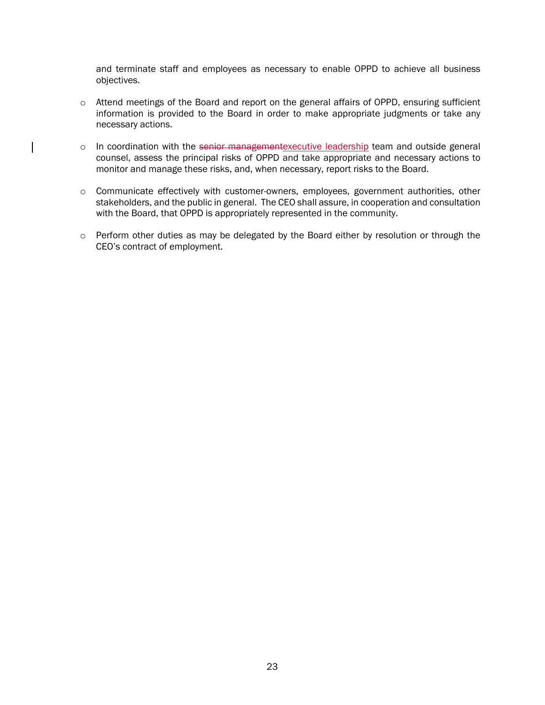and terminate staff and employees as necessary to enable OPPD to achieve all business objectives.

- o Attend meetings of the Board and report on the general affairs of OPPD, ensuring sufficient information is provided to the Board in order to make appropriate judgments or take any necessary actions.
- o In coordination with the senior managementexecutive leadership team and outside general counsel, assess the principal risks of OPPD and take appropriate and necessary actions to monitor and manage these risks, and, when necessary, report risks to the Board.
- o Communicate effectively with customer-owners, employees, government authorities, other stakeholders, and the public in general. The CEO shall assure, in cooperation and consultation with the Board, that OPPD is appropriately represented in the community.
- o Perform other duties as may be delegated by the Board either by resolution or through the CEO's contract of employment.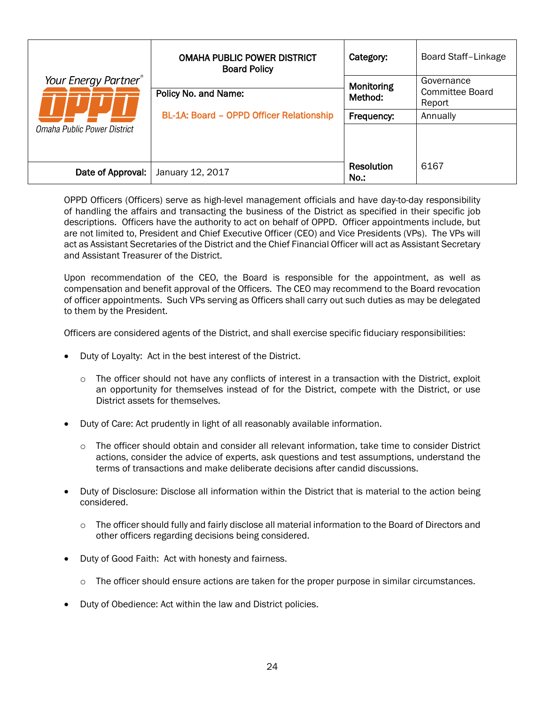|                             | <b>OMAHA PUBLIC POWER DISTRICT</b><br><b>Board Policy</b> | Category:             | Board Staff-Linkage                     |
|-----------------------------|-----------------------------------------------------------|-----------------------|-----------------------------------------|
| Your Energy Partner®        | Policy No. and Name:                                      | Monitoring<br>Method: | Governance<br>Committee Board<br>Report |
| Omaha Public Power District | BL-1A: Board - OPPD Officer Relationship                  | Frequency:            | Annually                                |
| Date of Approval:           | January 12, 2017                                          | Resolution<br>No.:    | 6167                                    |

<span id="page-29-0"></span>OPPD Officers (Officers) serve as high-level management officials and have day-to-day responsibility of handling the affairs and transacting the business of the District as specified in their specific job descriptions. Officers have the authority to act on behalf of OPPD. Officer appointments include, but are not limited to, President and Chief Executive Officer (CEO) and Vice Presidents (VPs). The VPs will act as Assistant Secretaries of the District and the Chief Financial Officer will act as Assistant Secretary and Assistant Treasurer of the District.

Upon recommendation of the CEO, the Board is responsible for the appointment, as well as compensation and benefit approval of the Officers. The CEO may recommend to the Board revocation of officer appointments. Such VPs serving as Officers shall carry out such duties as may be delegated to them by the President.

Officers are considered agents of the District, and shall exercise specific fiduciary responsibilities:

- Duty of Loyalty: Act in the best interest of the District.
	- $\circ$  The officer should not have any conflicts of interest in a transaction with the District, exploit an opportunity for themselves instead of for the District, compete with the District, or use District assets for themselves.
- Duty of Care: Act prudently in light of all reasonably available information.
	- o The officer should obtain and consider all relevant information, take time to consider District actions, consider the advice of experts, ask questions and test assumptions, understand the terms of transactions and make deliberate decisions after candid discussions.
- Duty of Disclosure: Disclose all information within the District that is material to the action being considered.
	- o The officer should fully and fairly disclose all material information to the Board of Directors and other officers regarding decisions being considered.
- Duty of Good Faith: Act with honesty and fairness.
	- $\circ$  The officer should ensure actions are taken for the proper purpose in similar circumstances.
- Duty of Obedience: Act within the law and District policies.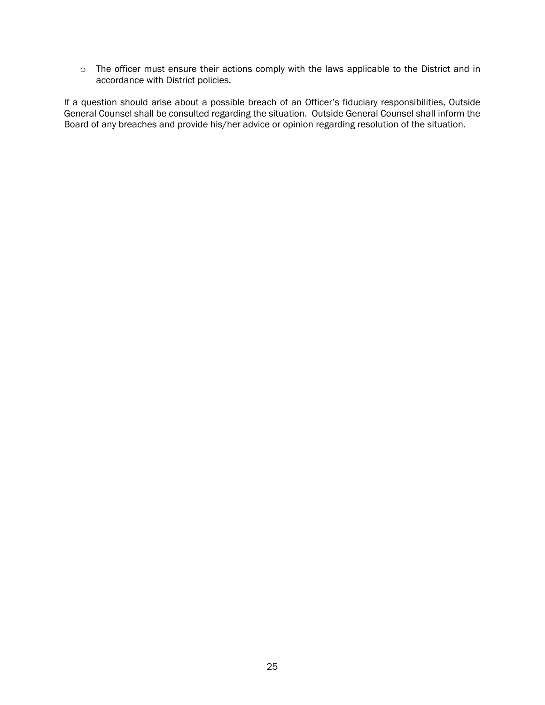o The officer must ensure their actions comply with the laws applicable to the District and in accordance with District policies.

If a question should arise about a possible breach of an Officer's fiduciary responsibilities, Outside General Counsel shall be consulted regarding the situation. Outside General Counsel shall inform the Board of any breaches and provide his/her advice or opinion regarding resolution of the situation.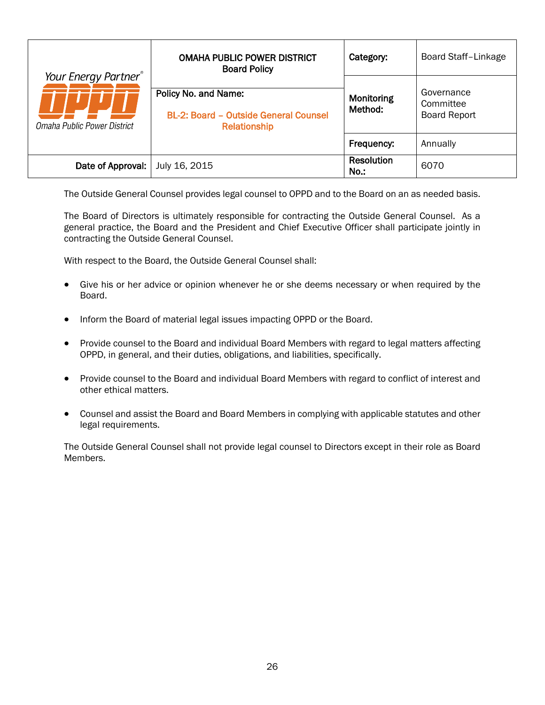|                                                                 | <b>OMAHA PUBLIC POWER DISTRICT</b><br><b>Board Policy</b>                            | Category:                 | Board Staff-Linkage                            |
|-----------------------------------------------------------------|--------------------------------------------------------------------------------------|---------------------------|------------------------------------------------|
| Your Energy Partner <sup>®</sup><br>Omaha Public Power District | Policy No. and Name:<br><b>BL-2: Board - Outside General Counsel</b><br>Relationship | Monitoring<br>Method:     | Governance<br>Committee<br><b>Board Report</b> |
|                                                                 |                                                                                      | Frequency:                | Annually                                       |
| Date of Approval:                                               | July 16, 2015                                                                        | <b>Resolution</b><br>No.: | 6070                                           |

<span id="page-31-0"></span>The Outside General Counsel provides legal counsel to OPPD and to the Board on an as needed basis.

The Board of Directors is ultimately responsible for contracting the Outside General Counsel. As a general practice, the Board and the President and Chief Executive Officer shall participate jointly in contracting the Outside General Counsel.

With respect to the Board, the Outside General Counsel shall:

- Give his or her advice or opinion whenever he or she deems necessary or when required by the Board.
- Inform the Board of material legal issues impacting OPPD or the Board.
- Provide counsel to the Board and individual Board Members with regard to legal matters affecting OPPD, in general, and their duties, obligations, and liabilities, specifically.
- Provide counsel to the Board and individual Board Members with regard to conflict of interest and other ethical matters.
- Counsel and assist the Board and Board Members in complying with applicable statutes and other legal requirements.

The Outside General Counsel shall not provide legal counsel to Directors except in their role as Board Members.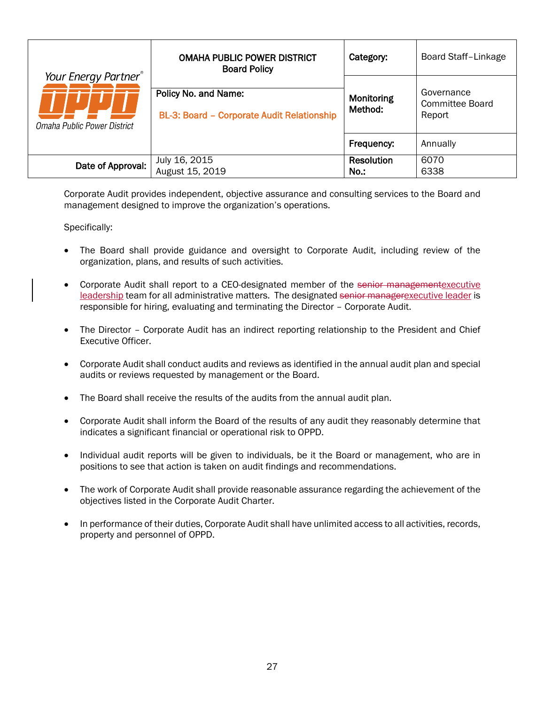|                                                     | <b>OMAHA PUBLIC POWER DISTRICT</b><br><b>Board Policy</b>          | Category:                    | <b>Board Staff-Linkage</b>              |
|-----------------------------------------------------|--------------------------------------------------------------------|------------------------------|-----------------------------------------|
| Your Energy Partner®<br>Omaha Public Power District | Policy No. and Name:<br>BL-3: Board - Corporate Audit Relationship | Monitoring<br>Method:        | Governance<br>Committee Board<br>Report |
|                                                     |                                                                    | Frequency:                   | Annually                                |
| Date of Approval:                                   | July 16, 2015<br>August 15, 2019                                   | <b>Resolution</b><br>$No.$ : | 6070<br>6338                            |

<span id="page-32-0"></span>Corporate Audit provides independent, objective assurance and consulting services to the Board and management designed to improve the organization's operations.

- The Board shall provide guidance and oversight to Corporate Audit, including review of the organization, plans, and results of such activities.
- Corporate Audit shall report to a CEO-designated member of the senior managementexecutive leadership team for all administrative matters. The designated senior managerexecutive leader is responsible for hiring, evaluating and terminating the Director – Corporate Audit.
- The Director Corporate Audit has an indirect reporting relationship to the President and Chief Executive Officer.
- Corporate Audit shall conduct audits and reviews as identified in the annual audit plan and special audits or reviews requested by management or the Board.
- The Board shall receive the results of the audits from the annual audit plan.
- Corporate Audit shall inform the Board of the results of any audit they reasonably determine that indicates a significant financial or operational risk to OPPD.
- Individual audit reports will be given to individuals, be it the Board or management, who are in positions to see that action is taken on audit findings and recommendations.
- The work of Corporate Audit shall provide reasonable assurance regarding the achievement of the objectives listed in the Corporate Audit Charter.
- In performance of their duties, Corporate Audit shall have unlimited access to all activities, records, property and personnel of OPPD.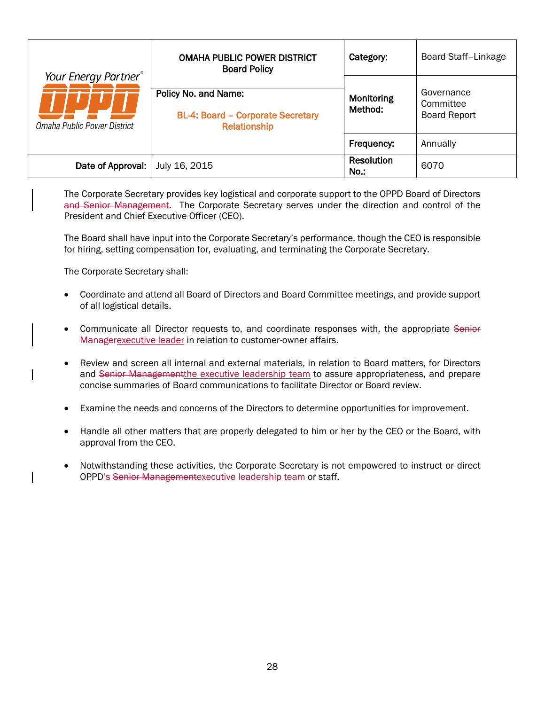| Your Energy Partner <sup>®</sup><br>Omaha Public Power District | <b>OMAHA PUBLIC POWER DISTRICT</b><br><b>Board Policy</b>                        | Category:                 | Board Staff-Linkage                            |
|-----------------------------------------------------------------|----------------------------------------------------------------------------------|---------------------------|------------------------------------------------|
|                                                                 | Policy No. and Name:<br><b>BL-4: Board - Corporate Secretary</b><br>Relationship | Monitoring<br>Method:     | Governance<br>Committee<br><b>Board Report</b> |
|                                                                 |                                                                                  | Frequency:                | Annually                                       |
| Date of Approval:                                               | July 16, 2015                                                                    | <b>Resolution</b><br>No.: | 6070                                           |

<span id="page-33-0"></span>The Corporate Secretary provides key logistical and corporate support to the OPPD Board of Directors and Senior Management. The Corporate Secretary serves under the direction and control of the President and Chief Executive Officer (CEO).

The Board shall have input into the Corporate Secretary's performance, though the CEO is responsible for hiring, setting compensation for, evaluating, and terminating the Corporate Secretary.

The Corporate Secretary shall:

- Coordinate and attend all Board of Directors and Board Committee meetings, and provide support of all logistical details.
- Communicate all Director requests to, and coordinate responses with, the appropriate Senior Managerexecutive leader in relation to customer-owner affairs.
- Review and screen all internal and external materials, in relation to Board matters, for Directors and Senior Managementthe executive leadership team to assure appropriateness, and prepare concise summaries of Board communications to facilitate Director or Board review.
- Examine the needs and concerns of the Directors to determine opportunities for improvement.
- Handle all other matters that are properly delegated to him or her by the CEO or the Board, with approval from the CEO.
- Notwithstanding these activities, the Corporate Secretary is not empowered to instruct or direct OPPD's Senior Managementexecutive leadership team or staff.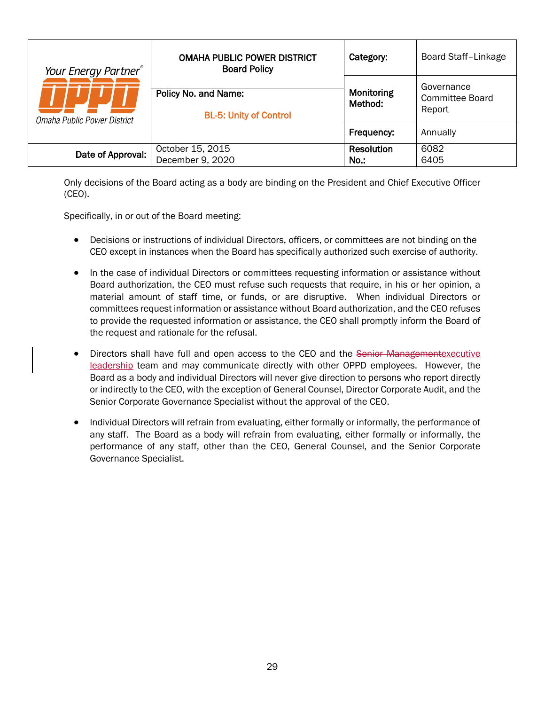| Your Energy Partner®<br>Omaha Public Power District | <b>OMAHA PUBLIC POWER DISTRICT</b><br><b>Board Policy</b> | Category:             | Board Staff-Linkage                     |
|-----------------------------------------------------|-----------------------------------------------------------|-----------------------|-----------------------------------------|
|                                                     | Policy No. and Name:<br><b>BL-5: Unity of Control</b>     | Monitoring<br>Method: | Governance<br>Committee Board<br>Report |
|                                                     |                                                           | Frequency:            | Annually                                |
| Date of Approval:                                   | October 15, 2015<br>December 9, 2020                      | Resolution<br>No.:    | 6082<br>6405                            |

<span id="page-34-0"></span>Only decisions of the Board acting as a body are binding on the President and Chief Executive Officer (CEO).

Specifically, in or out of the Board meeting:

- Decisions or instructions of individual Directors, officers, or committees are not binding on the CEO except in instances when the Board has specifically authorized such exercise of authority.
- In the case of individual Directors or committees requesting information or assistance without Board authorization, the CEO must refuse such requests that require, in his or her opinion, a material amount of staff time, or funds, or are disruptive. When individual Directors or committees request information or assistance without Board authorization, and the CEO refuses to provide the requested information or assistance, the CEO shall promptly inform the Board of the request and rationale for the refusal.
- Directors shall have full and open access to the CEO and the Senior Managementexecutive leadership team and may communicate directly with other OPPD employees. However, the Board as a body and individual Directors will never give direction to persons who report directly or indirectly to the CEO, with the exception of General Counsel, Director Corporate Audit, and the Senior Corporate Governance Specialist without the approval of the CEO.
- Individual Directors will refrain from evaluating, either formally or informally, the performance of any staff. The Board as a body will refrain from evaluating, either formally or informally, the performance of any staff, other than the CEO, General Counsel, and the Senior Corporate Governance Specialist.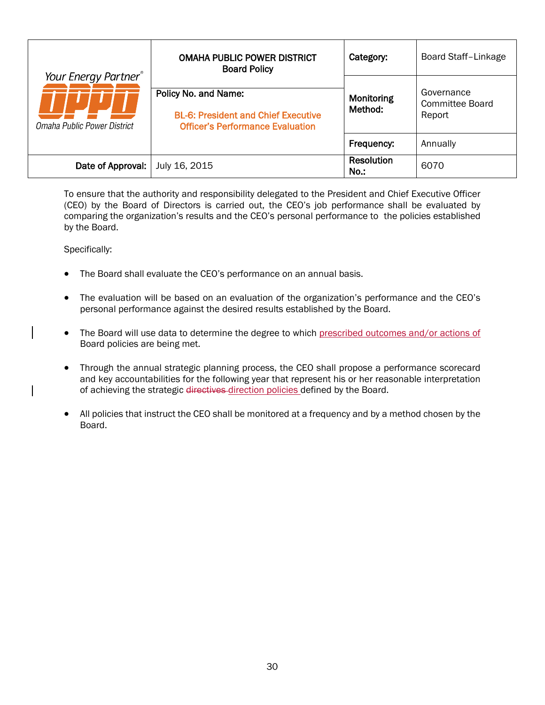| Your Energy Partner®<br>Omaha Public Power District | <b>OMAHA PUBLIC POWER DISTRICT</b><br><b>Board Policy</b>                                                     | Category:                 | <b>Board Staff-Linkage</b>                     |
|-----------------------------------------------------|---------------------------------------------------------------------------------------------------------------|---------------------------|------------------------------------------------|
|                                                     | Policy No. and Name:<br><b>BL-6: President and Chief Executive</b><br><b>Officer's Performance Evaluation</b> | Monitoring<br>Method:     | Governance<br><b>Committee Board</b><br>Report |
|                                                     |                                                                                                               | Frequency:                | Annually                                       |
| Date of Approval:                                   | July 16, 2015                                                                                                 | <b>Resolution</b><br>No.: | 6070                                           |

<span id="page-35-0"></span>To ensure that the authority and responsibility delegated to the President and Chief Executive Officer (CEO) by the Board of Directors is carried out, the CEO's job performance shall be evaluated by comparing the organization's results and the CEO's personal performance to the policies established by the Board.

- The Board shall evaluate the CEO's performance on an annual basis.
- The evaluation will be based on an evaluation of the organization's performance and the CEO's personal performance against the desired results established by the Board.
- The Board will use data to determine the degree to which prescribed outcomes and/or actions of Board policies are being met.
- Through the annual strategic planning process, the CEO shall propose a performance scorecard and key accountabilities for the following year that represent his or her reasonable interpretation of achieving the strategic directives direction policies defined by the Board.
- All policies that instruct the CEO shall be monitored at a frequency and by a method chosen by the Board.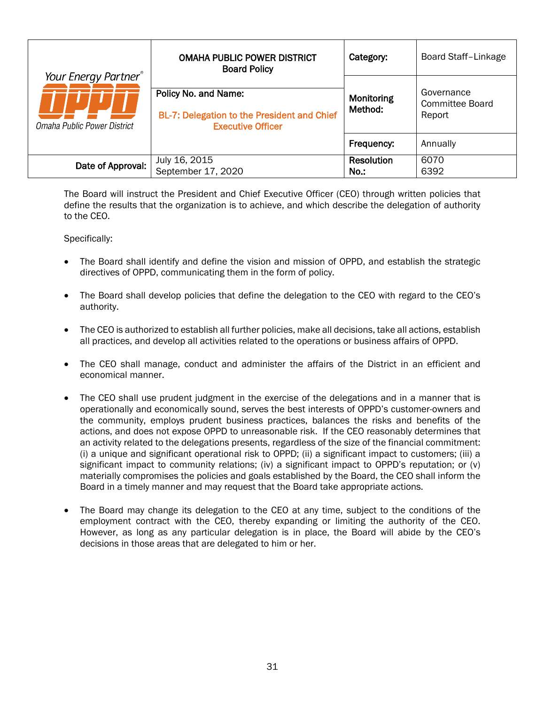|                                                     | <b>OMAHA PUBLIC POWER DISTRICT</b><br><b>Board Policy</b>                                       | Category:                    | <b>Board Staff-Linkage</b>                     |
|-----------------------------------------------------|-------------------------------------------------------------------------------------------------|------------------------------|------------------------------------------------|
| Your Energy Partner®<br>Omaha Public Power District | Policy No. and Name:<br>BL-7: Delegation to the President and Chief<br><b>Executive Officer</b> | Monitoring<br>Method:        | Governance<br><b>Committee Board</b><br>Report |
|                                                     |                                                                                                 | Frequency:                   | Annually                                       |
| Date of Approval:                                   | July 16, 2015<br>September 17, 2020                                                             | <b>Resolution</b><br>$No.$ : | 6070<br>6392                                   |

<span id="page-36-0"></span>The Board will instruct the President and Chief Executive Officer (CEO) through written policies that define the results that the organization is to achieve, and which describe the delegation of authority to the CEO.

- The Board shall identify and define the vision and mission of OPPD, and establish the strategic directives of OPPD, communicating them in the form of policy.
- The Board shall develop policies that define the delegation to the CEO with regard to the CEO's authority.
- The CEO is authorized to establish all further policies, make all decisions, take all actions, establish all practices, and develop all activities related to the operations or business affairs of OPPD.
- The CEO shall manage, conduct and administer the affairs of the District in an efficient and economical manner.
- The CEO shall use prudent judgment in the exercise of the delegations and in a manner that is operationally and economically sound, serves the best interests of OPPD's customer-owners and the community, employs prudent business practices, balances the risks and benefits of the actions, and does not expose OPPD to unreasonable risk. If the CEO reasonably determines that an activity related to the delegations presents, regardless of the size of the financial commitment: (i) a unique and significant operational risk to OPPD; (ii) a significant impact to customers; (iii) a significant impact to community relations; (iv) a significant impact to OPPD's reputation; or (v) materially compromises the policies and goals established by the Board, the CEO shall inform the Board in a timely manner and may request that the Board take appropriate actions.
- The Board may change its delegation to the CEO at any time, subject to the conditions of the employment contract with the CEO, thereby expanding or limiting the authority of the CEO. However, as long as any particular delegation is in place, the Board will abide by the CEO's decisions in those areas that are delegated to him or her.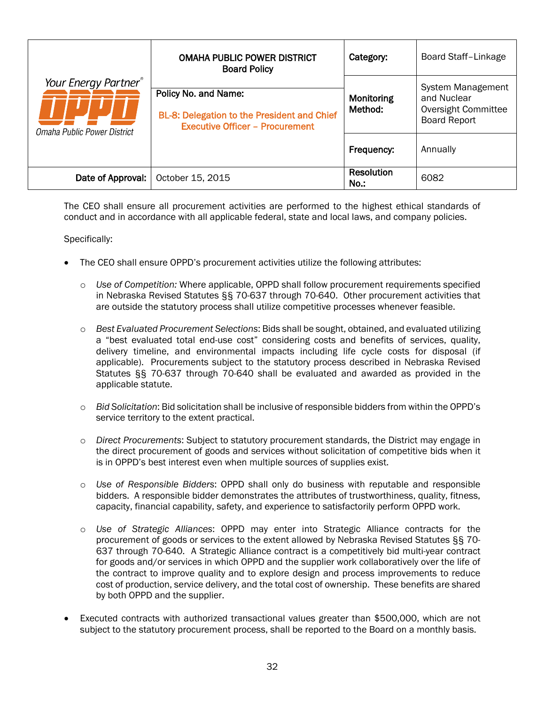|                                                     | <b>OMAHA PUBLIC POWER DISTRICT</b><br><b>Board Policy</b>                                                     | Category:             | Board Staff-Linkage                                                            |
|-----------------------------------------------------|---------------------------------------------------------------------------------------------------------------|-----------------------|--------------------------------------------------------------------------------|
| Your Energy Partner®<br>Omaha Public Power District | Policy No. and Name:<br>BL-8: Delegation to the President and Chief<br><b>Executive Officer - Procurement</b> | Monitoring<br>Method: | System Management<br>and Nuclear<br>Oversight Committee<br><b>Board Report</b> |
|                                                     |                                                                                                               | Frequency:            | Annually                                                                       |
| Date of Approval:                                   | October 15, 2015                                                                                              | Resolution<br>No.:    | 6082                                                                           |

<span id="page-37-0"></span>The CEO shall ensure all procurement activities are performed to the highest ethical standards of conduct and in accordance with all applicable federal, state and local laws, and company policies.

- The CEO shall ensure OPPD's procurement activities utilize the following attributes:
	- o *Use of Competition:* Where applicable, OPPD shall follow procurement requirements specified in Nebraska Revised Statutes §§ 70-637 through 70-640. Other procurement activities that are outside the statutory process shall utilize competitive processes whenever feasible.
	- o *Best Evaluated Procurement Selections*: Bids shall be sought, obtained, and evaluated utilizing a "best evaluated total end-use cost" considering costs and benefits of services, quality, delivery timeline, and environmental impacts including life cycle costs for disposal (if applicable). Procurements subject to the statutory process described in Nebraska Revised Statutes §§ 70-637 through 70-640 shall be evaluated and awarded as provided in the applicable statute.
	- o *Bid Solicitation*: Bid solicitation shall be inclusive of responsible bidders from within the OPPD's service territory to the extent practical.
	- o *Direct Procurements*: Subject to statutory procurement standards, the District may engage in the direct procurement of goods and services without solicitation of competitive bids when it is in OPPD's best interest even when multiple sources of supplies exist.
	- o *Use of Responsible Bidders*: OPPD shall only do business with reputable and responsible bidders. A responsible bidder demonstrates the attributes of trustworthiness, quality, fitness, capacity, financial capability, safety, and experience to satisfactorily perform OPPD work.
	- o *Use of Strategic Alliances*: OPPD may enter into Strategic Alliance contracts for the procurement of goods or services to the extent allowed by Nebraska Revised Statutes §§ 70- 637 through 70-640. A Strategic Alliance contract is a competitively bid multi-year contract for goods and/or services in which OPPD and the supplier work collaboratively over the life of the contract to improve quality and to explore design and process improvements to reduce cost of production, service delivery, and the total cost of ownership. These benefits are shared by both OPPD and the supplier.
- Executed contracts with authorized transactional values greater than \$500,000, which are not subject to the statutory procurement process, shall be reported to the Board on a monthly basis.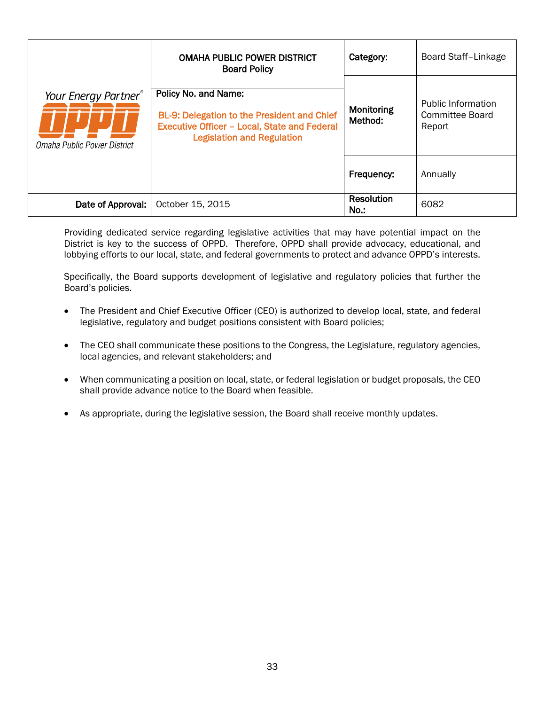<span id="page-38-0"></span>

|                                                                 | <b>OMAHA PUBLIC POWER DISTRICT</b><br><b>Board Policy</b>                                                                                                       | Category:                    | <b>Board Staff-Linkage</b>                      |
|-----------------------------------------------------------------|-----------------------------------------------------------------------------------------------------------------------------------------------------------------|------------------------------|-------------------------------------------------|
| Your Energy Partner <sup>®</sup><br>Omaha Public Power District | Policy No. and Name:<br>BL-9: Delegation to the President and Chief<br><b>Executive Officer - Local, State and Federal</b><br><b>Legislation and Regulation</b> | Monitoring<br>Method:        | Public Information<br>Committee Board<br>Report |
|                                                                 |                                                                                                                                                                 | Frequency:                   | Annually                                        |
| Date of Approval:                                               | October 15, 2015                                                                                                                                                | <b>Resolution</b><br>$No.$ : | 6082                                            |

Providing dedicated service regarding legislative activities that may have potential impact on the District is key to the success of OPPD. Therefore, OPPD shall provide advocacy, educational, and lobbying efforts to our local, state, and federal governments to protect and advance OPPD's interests.

Specifically, the Board supports development of legislative and regulatory policies that further the Board's policies.

- The President and Chief Executive Officer (CEO) is authorized to develop local, state, and federal legislative, regulatory and budget positions consistent with Board policies;
- The CEO shall communicate these positions to the Congress, the Legislature, regulatory agencies, local agencies, and relevant stakeholders; and
- When communicating a position on local, state, or federal legislation or budget proposals, the CEO shall provide advance notice to the Board when feasible.
- As appropriate, during the legislative session, the Board shall receive monthly updates.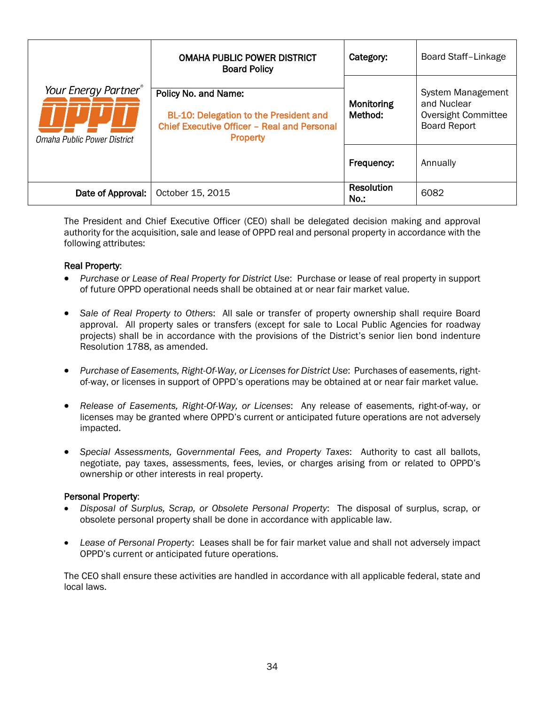<span id="page-39-0"></span>

|                                                                 | <b>OMAHA PUBLIC POWER DISTRICT</b><br><b>Board Policy</b>                                                                               | Category:             | Board Staff-Linkage                                                                   |
|-----------------------------------------------------------------|-----------------------------------------------------------------------------------------------------------------------------------------|-----------------------|---------------------------------------------------------------------------------------|
| Your Energy Partner <sup>®</sup><br>Omaha Public Power District | Policy No. and Name:<br>BL-10: Delegation to the President and<br><b>Chief Executive Officer - Real and Personal</b><br><b>Property</b> | Monitoring<br>Method: | <b>System Management</b><br>and Nuclear<br>Oversight Committee<br><b>Board Report</b> |
|                                                                 |                                                                                                                                         | Frequency:            | Annually                                                                              |
| Date of Approval:                                               | October 15, 2015                                                                                                                        | Resolution<br>$No.$ : | 6082                                                                                  |

The President and Chief Executive Officer (CEO) shall be delegated decision making and approval authority for the acquisition, sale and lease of OPPD real and personal property in accordance with the following attributes:

#### Real Property:

- *Purchase or Lease of Real Property for District Use*: Purchase or lease of real property in support of future OPPD operational needs shall be obtained at or near fair market value.
- *Sale of Real Property to Others*: All sale or transfer of property ownership shall require Board approval. All property sales or transfers (except for sale to Local Public Agencies for roadway projects) shall be in accordance with the provisions of the District's senior lien bond indenture Resolution 1788, as amended.
- *Purchase of Easements, Right-Of-Way, or Licenses for District Use*: Purchases of easements, rightof-way, or licenses in support of OPPD's operations may be obtained at or near fair market value.
- *Release of Easements, Right-Of-Way, or Licenses*: Any release of easements, right-of-way, or licenses may be granted where OPPD's current or anticipated future operations are not adversely impacted.
- *Special Assessments, Governmental Fees, and Property Taxes*: Authority to cast all ballots, negotiate, pay taxes, assessments, fees, levies, or charges arising from or related to OPPD's ownership or other interests in real property.

#### Personal Property:

- *Disposal of Surplus, Scrap, or Obsolete Personal Property*: The disposal of surplus, scrap, or obsolete personal property shall be done in accordance with applicable law.
- *Lease of Personal Property*: Leases shall be for fair market value and shall not adversely impact OPPD's current or anticipated future operations.

The CEO shall ensure these activities are handled in accordance with all applicable federal, state and local laws.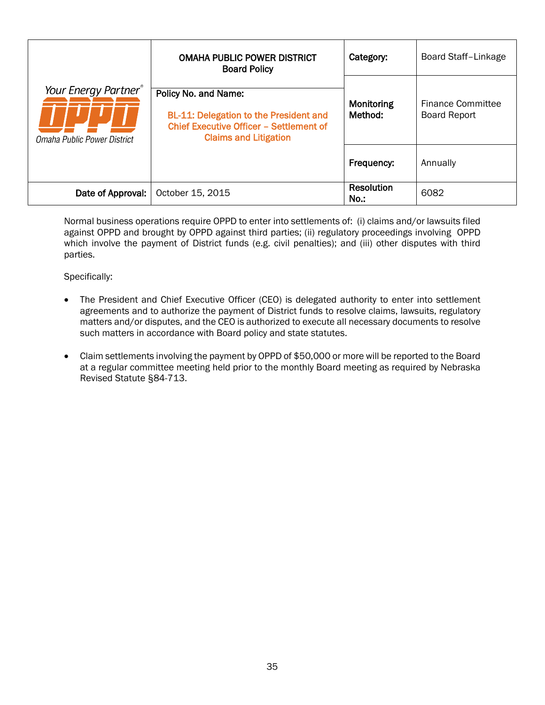<span id="page-40-0"></span>

|                                                     | <b>OMAHA PUBLIC POWER DISTRICT</b><br><b>Board Policy</b>                                                                                               | Category:                    | Board Staff-Linkage                             |
|-----------------------------------------------------|---------------------------------------------------------------------------------------------------------------------------------------------------------|------------------------------|-------------------------------------------------|
| Your Energy Partner®<br>Omaha Public Power District | Policy No. and Name:<br><b>BL-11: Delegation to the President and</b><br><b>Chief Executive Officer - Settlement of</b><br><b>Claims and Litigation</b> | Monitoring<br>Method:        | <b>Finance Committee</b><br><b>Board Report</b> |
|                                                     |                                                                                                                                                         | Frequency:                   | Annually                                        |
| Date of Approval:                                   | October 15, 2015                                                                                                                                        | <b>Resolution</b><br>$No.$ : | 6082                                            |

Normal business operations require OPPD to enter into settlements of: (i) claims and/or lawsuits filed against OPPD and brought by OPPD against third parties; (ii) regulatory proceedings involving OPPD which involve the payment of District funds (e.g. civil penalties); and (iii) other disputes with third parties.

- The President and Chief Executive Officer (CEO) is delegated authority to enter into settlement agreements and to authorize the payment of District funds to resolve claims, lawsuits, regulatory matters and/or disputes, and the CEO is authorized to execute all necessary documents to resolve such matters in accordance with Board policy and state statutes.
- Claim settlements involving the payment by OPPD of \$50,000 or more will be reported to the Board at a regular committee meeting held prior to the monthly Board meeting as required by Nebraska Revised Statute §84-713.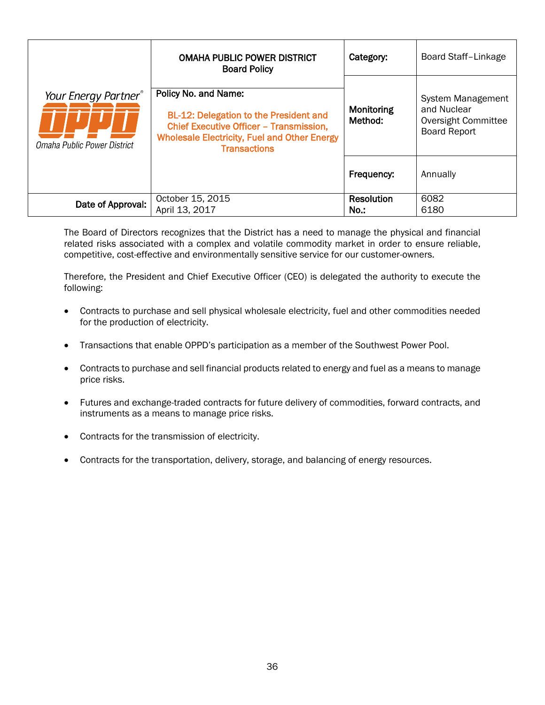<span id="page-41-0"></span>

|                                                     | <b>OMAHA PUBLIC POWER DISTRICT</b><br><b>Board Policy</b>                                                                                                                                             | Category:             | Board Staff-Linkage                                                                   |
|-----------------------------------------------------|-------------------------------------------------------------------------------------------------------------------------------------------------------------------------------------------------------|-----------------------|---------------------------------------------------------------------------------------|
| Your Energy Partner®<br>Omaha Public Power District | Policy No. and Name:<br><b>BL-12: Delegation to the President and</b><br><b>Chief Executive Officer - Transmission,</b><br><b>Wholesale Electricity, Fuel and Other Energy</b><br><b>Transactions</b> | Monitoring<br>Method: | <b>System Management</b><br>and Nuclear<br>Oversight Committee<br><b>Board Report</b> |
|                                                     |                                                                                                                                                                                                       | Frequency:            | Annually                                                                              |
| Date of Approval:                                   | October 15, 2015<br>April 13, 2017                                                                                                                                                                    | Resolution<br>$No.$ : | 6082<br>6180                                                                          |

The Board of Directors recognizes that the District has a need to manage the physical and financial related risks associated with a complex and volatile commodity market in order to ensure reliable, competitive, cost-effective and environmentally sensitive service for our customer-owners.

Therefore, the President and Chief Executive Officer (CEO) is delegated the authority to execute the following:

- Contracts to purchase and sell physical wholesale electricity, fuel and other commodities needed for the production of electricity.
- Transactions that enable OPPD's participation as a member of the Southwest Power Pool.
- Contracts to purchase and sell financial products related to energy and fuel as a means to manage price risks.
- Futures and exchange-traded contracts for future delivery of commodities, forward contracts, and instruments as a means to manage price risks.
- Contracts for the transmission of electricity.
- Contracts for the transportation, delivery, storage, and balancing of energy resources.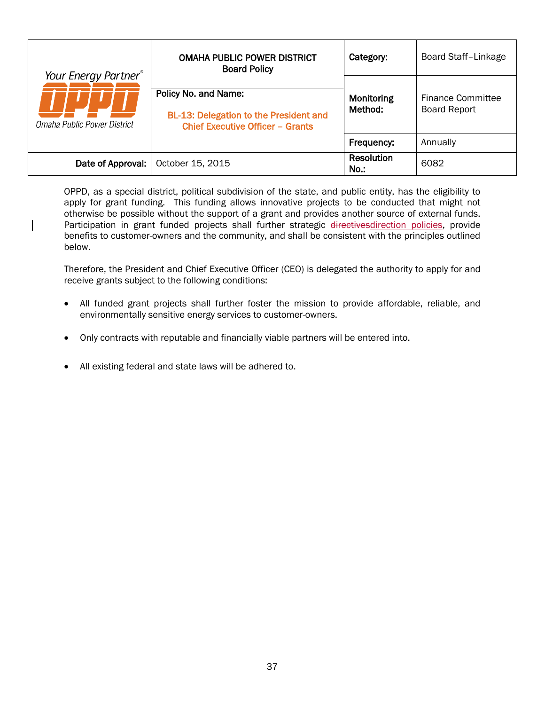| Your Energy Partner <sup>®</sup><br>Omaha Public Power District | <b>OMAHA PUBLIC POWER DISTRICT</b><br><b>Board Policy</b>                                                        | Category:                    | Board Staff-Linkage                      |
|-----------------------------------------------------------------|------------------------------------------------------------------------------------------------------------------|------------------------------|------------------------------------------|
|                                                                 | Policy No. and Name:<br><b>BL-13: Delegation to the President and</b><br><b>Chief Executive Officer - Grants</b> | Monitoring<br>Method:        | Finance Committee<br><b>Board Report</b> |
|                                                                 |                                                                                                                  | Frequency:                   | Annually                                 |
| Date of Approval:                                               | October 15, 2015                                                                                                 | <b>Resolution</b><br>$No.$ : | 6082                                     |

<span id="page-42-0"></span>OPPD, as a special district, political subdivision of the state, and public entity, has the eligibility to apply for grant funding. This funding allows innovative projects to be conducted that might not otherwise be possible without the support of a grant and provides another source of external funds. Participation in grant funded projects shall further strategic directivesdirection policies, provide benefits to customer-owners and the community, and shall be consistent with the principles outlined below.

Therefore, the President and Chief Executive Officer (CEO) is delegated the authority to apply for and receive grants subject to the following conditions:

- All funded grant projects shall further foster the mission to provide affordable, reliable, and environmentally sensitive energy services to customer-owners.
- Only contracts with reputable and financially viable partners will be entered into.
- All existing federal and state laws will be adhered to.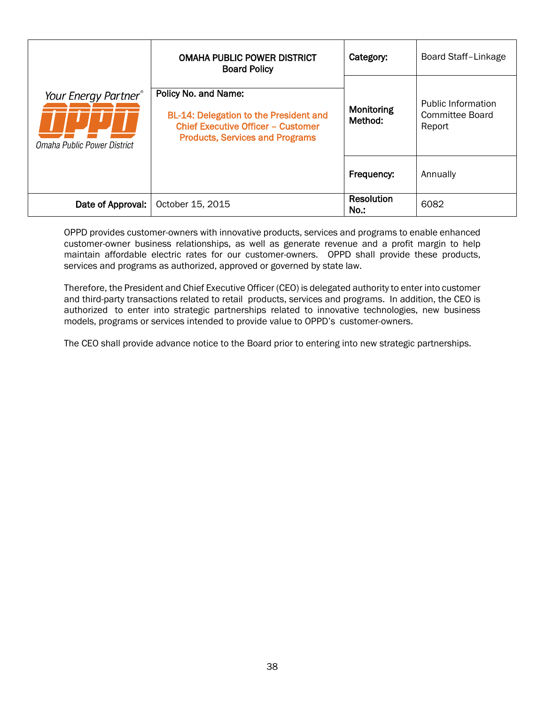<span id="page-43-0"></span>

|                                                     | <b>OMAHA PUBLIC POWER DISTRICT</b><br><b>Board Policy</b>                                                                                                    | Category:                    | <b>Board Staff-Linkage</b>                      |
|-----------------------------------------------------|--------------------------------------------------------------------------------------------------------------------------------------------------------------|------------------------------|-------------------------------------------------|
| Your Energy Partner®<br>Omaha Public Power District | Policy No. and Name:<br><b>BL-14: Delegation to the President and</b><br><b>Chief Executive Officer - Customer</b><br><b>Products, Services and Programs</b> | Monitoring<br>Method:        | Public Information<br>Committee Board<br>Report |
|                                                     |                                                                                                                                                              | Frequency:                   | Annually                                        |
| Date of Approval:                                   | October 15, 2015                                                                                                                                             | <b>Resolution</b><br>$No.$ : | 6082                                            |

OPPD provides customer-owners with innovative products, services and programs to enable enhanced customer-owner business relationships, as well as generate revenue and a profit margin to help maintain affordable electric rates for our customer-owners. OPPD shall provide these products, services and programs as authorized, approved or governed by state law.

Therefore, the President and Chief Executive Officer (CEO) is delegated authority to enter into customer and third-party transactions related to retail products, services and programs. In addition, the CEO is authorized to enter into strategic partnerships related to innovative technologies, new business models, programs or services intended to provide value to OPPD's customer-owners.

The CEO shall provide advance notice to the Board prior to entering into new strategic partnerships.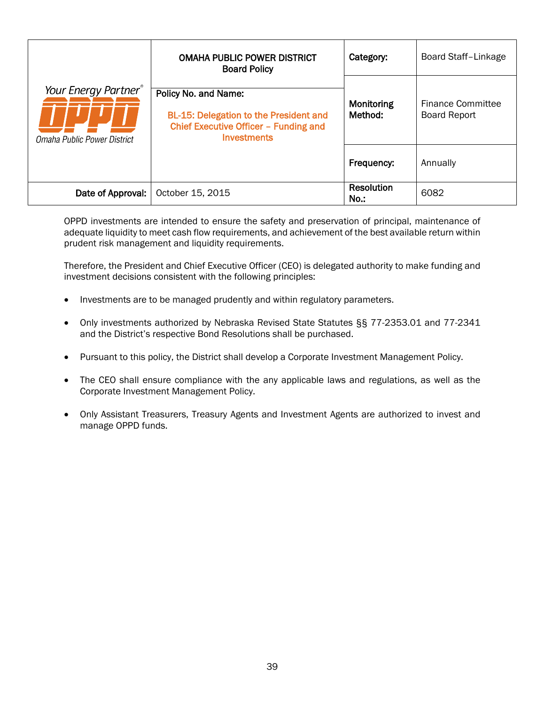<span id="page-44-0"></span>

|                                                     | <b>OMAHA PUBLIC POWER DISTRICT</b><br><b>Board Policy</b>                                                                     | Category:             | Board Staff-Linkage                             |
|-----------------------------------------------------|-------------------------------------------------------------------------------------------------------------------------------|-----------------------|-------------------------------------------------|
| Your Energy Partner®<br>Omaha Public Power District | Policy No. and Name:<br><b>BL-15: Delegation to the President and</b><br>Chief Executive Officer - Funding and<br>Investments | Monitoring<br>Method: | <b>Finance Committee</b><br><b>Board Report</b> |
|                                                     |                                                                                                                               | Frequency:            | Annually                                        |
| Date of Approval:                                   | October 15, 2015                                                                                                              | Resolution<br>$No.$ : | 6082                                            |

OPPD investments are intended to ensure the safety and preservation of principal, maintenance of adequate liquidity to meet cash flow requirements, and achievement of the best available return within prudent risk management and liquidity requirements.

Therefore, the President and Chief Executive Officer (CEO) is delegated authority to make funding and investment decisions consistent with the following principles:

- Investments are to be managed prudently and within regulatory parameters.
- Only investments authorized by Nebraska Revised State Statutes §§ 77-2353.01 and 77-2341 and the District's respective Bond Resolutions shall be purchased.
- Pursuant to this policy, the District shall develop a Corporate Investment Management Policy.
- The CEO shall ensure compliance with the any applicable laws and regulations, as well as the Corporate Investment Management Policy.
- Only Assistant Treasurers, Treasury Agents and Investment Agents are authorized to invest and manage OPPD funds.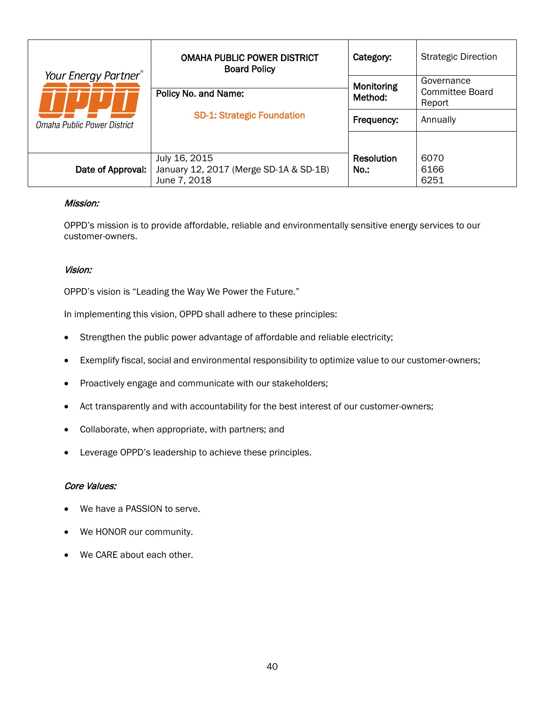|                                  | <b>OMAHA PUBLIC POWER DISTRICT</b><br><b>Board Policy</b>               | Category:                    | <b>Strategic Direction</b>                     |
|----------------------------------|-------------------------------------------------------------------------|------------------------------|------------------------------------------------|
| Your Energy Partner <sup>®</sup> | Policy No. and Name:                                                    | <b>Monitoring</b><br>Method: | Governance<br><b>Committee Board</b><br>Report |
| Omaha Public Power District      | <b>SD-1: Strategic Foundation</b>                                       | Frequency:                   | Annually                                       |
| Date of Approval:                | July 16, 2015<br>January 12, 2017 (Merge SD-1A & SD-1B)<br>June 7, 2018 | Resolution<br>No.:           | 6070<br>6166<br>6251                           |

#### <span id="page-45-0"></span>Mission:

OPPD's mission is to provide affordable, reliable and environmentally sensitive energy services to our customer-owners.

#### Vision:

OPPD's vision is "Leading the Way We Power the Future."

In implementing this vision, OPPD shall adhere to these principles:

- Strengthen the public power advantage of affordable and reliable electricity;
- Exemplify fiscal, social and environmental responsibility to optimize value to our customer-owners;
- Proactively engage and communicate with our stakeholders;
- Act transparently and with accountability for the best interest of our customer-owners;
- Collaborate, when appropriate, with partners; and
- Leverage OPPD's leadership to achieve these principles.

#### Core Values:

- We have a PASSION to serve.
- We HONOR our community.
- We CARE about each other.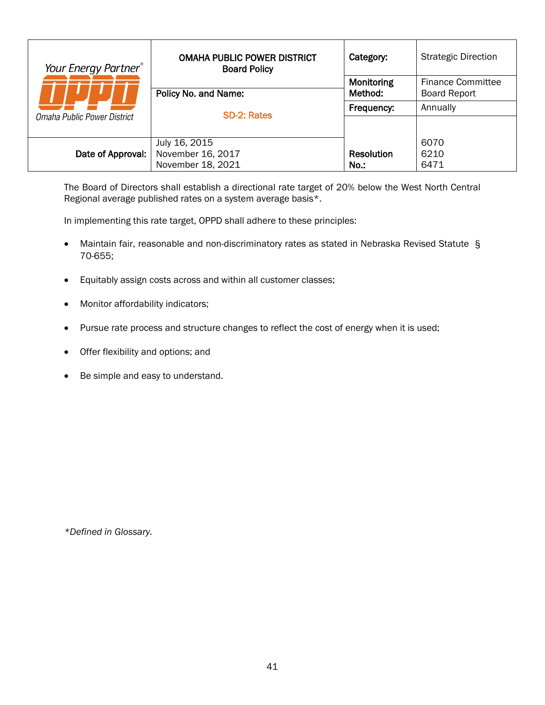| Your Energy Partner <sup>®</sup> | <b>OMAHA PUBLIC POWER DISTRICT</b><br><b>Board Policy</b> | Category:             | <b>Strategic Direction</b>               |
|----------------------------------|-----------------------------------------------------------|-----------------------|------------------------------------------|
|                                  | Policy No. and Name:                                      | Monitoring<br>Method: | Finance Committee<br><b>Board Report</b> |
|                                  |                                                           |                       |                                          |
| Omaha Public Power District      | <b>SD-2: Rates</b>                                        | Frequency:            | Annually                                 |
|                                  |                                                           |                       |                                          |
|                                  | July 16, 2015                                             |                       | 6070                                     |
| Date of Approval:                | November 16, 2017                                         | <b>Resolution</b>     | 6210                                     |
|                                  | November 18, 2021                                         | $No.$ :               | 6471                                     |

<span id="page-46-0"></span>The Board of Directors shall establish a directional rate target of 20% below the West North Central Regional average published rates on a system average basis\*.

In implementing this rate target, OPPD shall adhere to these principles:

- Maintain fair, reasonable and non-discriminatory rates as stated in Nebraska Revised Statute § 70-655;
- Equitably assign costs across and within all customer classes;
- Monitor affordability indicators;
- Pursue rate process and structure changes to reflect the cost of energy when it is used;
- Offer flexibility and options; and
- Be simple and easy to understand.

*\*Defined in Glossary.*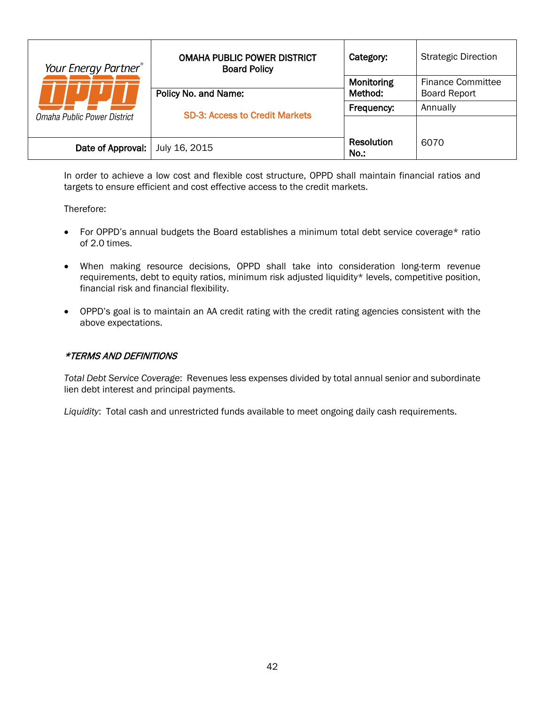| Your Energy Partner®              | <b>OMAHA PUBLIC POWER DISTRICT</b><br><b>Board Policy</b> | Category:             | <b>Strategic Direction</b>                      |
|-----------------------------------|-----------------------------------------------------------|-----------------------|-------------------------------------------------|
|                                   | Policy No. and Name:                                      | Monitoring<br>Method: | <b>Finance Committee</b><br><b>Board Report</b> |
|                                   | <b>SD-3: Access to Credit Markets</b>                     | Frequency:            | Annually                                        |
| Omaha Public Power District       |                                                           |                       |                                                 |
| Date of Approval:   July 16, 2015 |                                                           | Resolution<br>No.:    | 6070                                            |

<span id="page-47-0"></span>In order to achieve a low cost and flexible cost structure, OPPD shall maintain financial ratios and targets to ensure efficient and cost effective access to the credit markets.

Therefore:

- For OPPD's annual budgets the Board establishes a minimum total debt service coverage\* ratio of 2.0 times.
- When making resource decisions, OPPD shall take into consideration long-term revenue requirements, debt to equity ratios, minimum risk adjusted liquidity\* levels, competitive position, financial risk and financial flexibility.
- OPPD's goal is to maintain an AA credit rating with the credit rating agencies consistent with the above expectations.

# \*TERMS AND DEFINITIONS

*Total Debt Service Coverage*: Revenues less expenses divided by total annual senior and subordinate lien debt interest and principal payments.

*Liquidity*: Total cash and unrestricted funds available to meet ongoing daily cash requirements.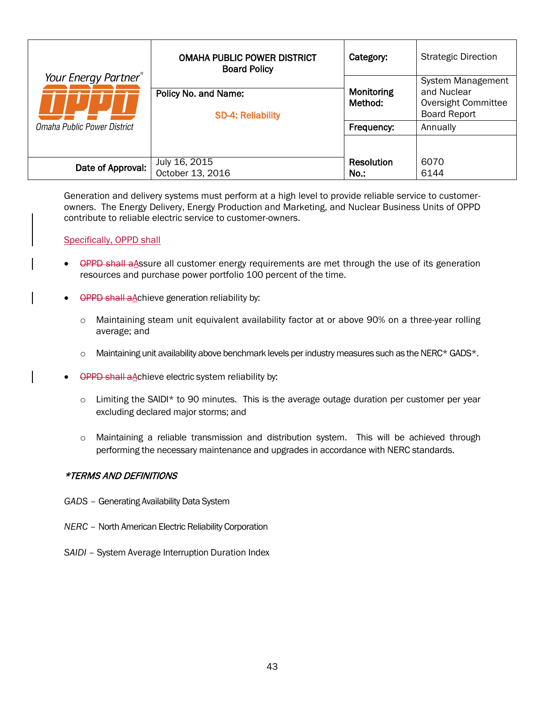|                                  | <b>OMAHA PUBLIC POWER DISTRICT</b><br><b>Board Policy</b> | Category:             | <b>Strategic Direction</b>                                                            |
|----------------------------------|-----------------------------------------------------------|-----------------------|---------------------------------------------------------------------------------------|
| Your Energy Partner <sup>®</sup> | Policy No. and Name:<br><b>SD-4: Reliability</b>          | Monitoring<br>Method: | <b>System Management</b><br>and Nuclear<br>Oversight Committee<br><b>Board Report</b> |
| Omaha Public Power District      |                                                           | Frequency:            | Annually                                                                              |
| Date of Approval:                | July 16, 2015<br>October 13, 2016                         | Resolution<br>$No.$ : | 6070<br>6144                                                                          |

<span id="page-48-0"></span>Generation and delivery systems must perform at a high level to provide reliable service to customerowners. The Energy Delivery, Energy Production and Marketing, and Nuclear Business Units of OPPD contribute to reliable electric service to customer-owners.

Specifically, OPPD shall

- OPPD shall a Assure all customer energy requirements are met through the use of its generation resources and purchase power portfolio 100 percent of the time.
- OPPD shall aAchieve generation reliability by:
	- o Maintaining steam unit equivalent availability factor at or above 90% on a three-year rolling average; and
	- $\circ$  Maintaining unit availability above benchmark levels per industry measures such as the NERC\* GADS\*.
- **OPPD shall aAchieve electric system reliability by:** 
	- $\circ$  Limiting the SAIDI\* to 90 minutes. This is the average outage duration per customer per year excluding declared major storms; and
	- o Maintaining a reliable transmission and distribution system. This will be achieved through performing the necessary maintenance and upgrades in accordance with NERC standards.

#### \*TERMS AND DEFINITIONS

- *GADS* Generating Availability Data System
- *NERC* North American Electric Reliability Corporation
- *SAIDI* System Average Interruption Duration Index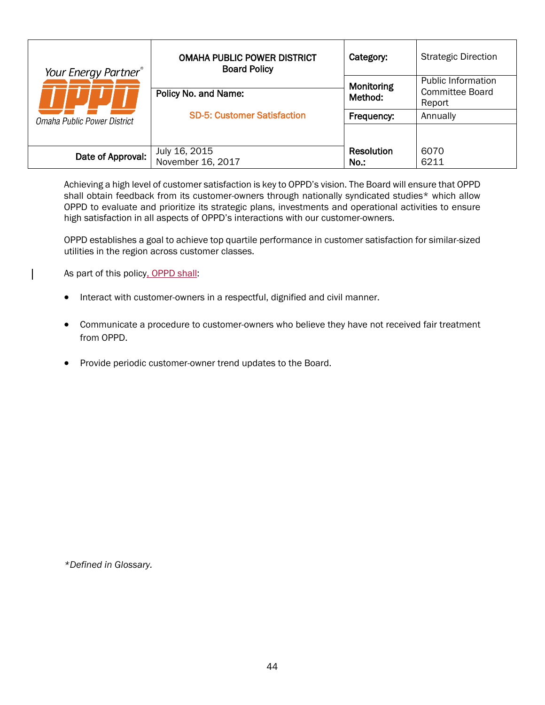| Your Energy Partner®        | <b>OMAHA PUBLIC POWER DISTRICT</b><br><b>Board Policy</b> | Category:             | <b>Strategic Direction</b>                                    |
|-----------------------------|-----------------------------------------------------------|-----------------------|---------------------------------------------------------------|
|                             | Policy No. and Name:                                      | Monitoring<br>Method: | <b>Public Information</b><br><b>Committee Board</b><br>Report |
| Omaha Public Power District | <b>SD-5: Customer Satisfaction</b>                        | Frequency:            | Annually                                                      |
| Date of Approval:           | July 16, 2015<br>November 16, 2017                        | Resolution<br>No.:    | 6070<br>6211                                                  |

<span id="page-49-0"></span>Achieving a high level of customer satisfaction is key to OPPD's vision. The Board will ensure that OPPD shall obtain feedback from its customer-owners through nationally syndicated studies\* which allow OPPD to evaluate and prioritize its strategic plans, investments and operational activities to ensure high satisfaction in all aspects of OPPD's interactions with our customer-owners.

OPPD establishes a goal to achieve top quartile performance in customer satisfaction for similar-sized utilities in the region across customer classes.

As part of this policy, OPPD shall:

- Interact with customer-owners in a respectful, dignified and civil manner.
- Communicate a procedure to customer-owners who believe they have not received fair treatment from OPPD.
- Provide periodic customer-owner trend updates to the Board.

*\*Defined in Glossary.*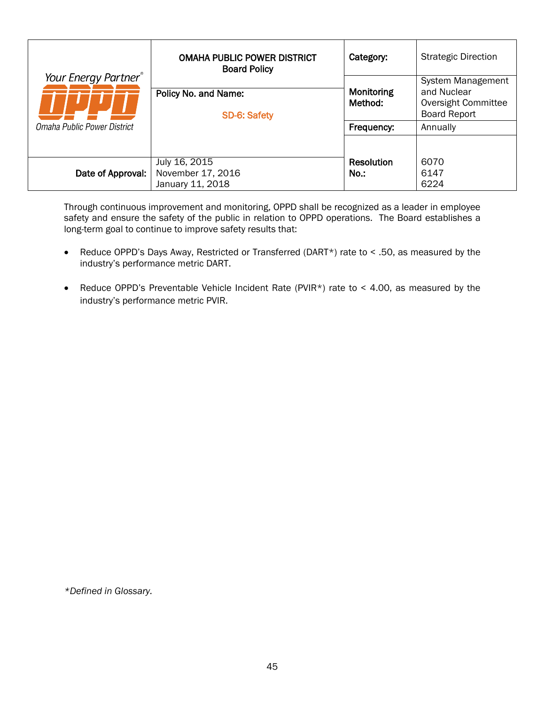|                                                     | <b>OMAHA PUBLIC POWER DISTRICT</b><br><b>Board Policy</b> | Category:                           | <b>Strategic Direction</b>                                                                 |
|-----------------------------------------------------|-----------------------------------------------------------|-------------------------------------|--------------------------------------------------------------------------------------------|
| Your Energy Partner®<br>Omaha Public Power District | Policy No. and Name:<br><b>SD-6: Safety</b>               | Monitoring<br>Method:<br>Frequency: | System Management<br>and Nuclear<br>Oversight Committee<br><b>Board Report</b><br>Annually |
|                                                     |                                                           |                                     |                                                                                            |
| Date of Approval:                                   | July 16, 2015<br>November 17, 2016<br>January 11, 2018    | Resolution<br>No.:                  | 6070<br>6147<br>6224                                                                       |

<span id="page-50-0"></span>Through continuous improvement and monitoring, OPPD shall be recognized as a leader in employee safety and ensure the safety of the public in relation to OPPD operations. The Board establishes a long-term goal to continue to improve safety results that:

- Reduce OPPD's Days Away, Restricted or Transferred (DART\*) rate to < .50, as measured by the industry's performance metric DART.
- Reduce OPPD's Preventable Vehicle Incident Rate (PVIR\*) rate to < 4.00, as measured by the industry's performance metric PVIR.

*\*Defined in Glossary.*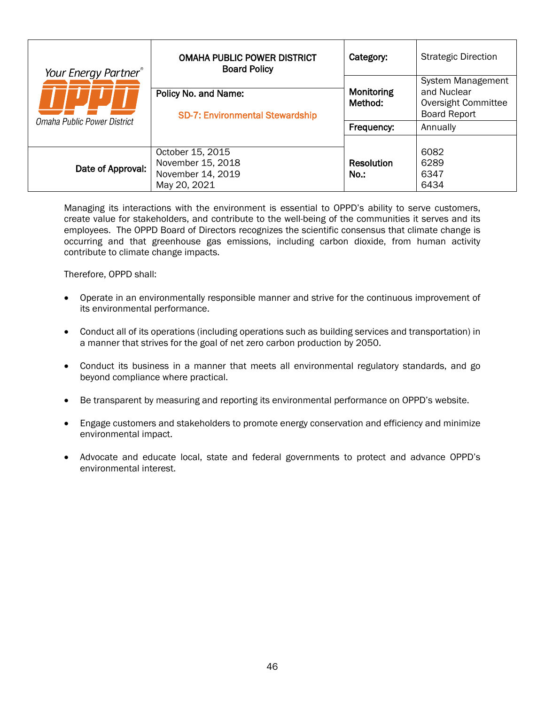| Your Energy Partner®        | <b>OMAHA PUBLIC POWER DISTRICT</b><br><b>Board Policy</b>                  | Category:                    | <b>Strategic Direction</b>                                                            |
|-----------------------------|----------------------------------------------------------------------------|------------------------------|---------------------------------------------------------------------------------------|
| Omaha Public Power District | Policy No. and Name:<br><b>SD-7: Environmental Stewardship</b>             | <b>Monitoring</b><br>Method: | <b>System Management</b><br>and Nuclear<br>Oversight Committee<br><b>Board Report</b> |
|                             |                                                                            | Frequency:                   | Annually                                                                              |
| Date of Approval:           | October 15, 2015<br>November 15, 2018<br>November 14, 2019<br>May 20, 2021 | Resolution<br>No.:           | 6082<br>6289<br>6347<br>6434                                                          |

<span id="page-51-0"></span>Managing its interactions with the environment is essential to OPPD's ability to serve customers, create value for stakeholders, and contribute to the well-being of the communities it serves and its employees. The OPPD Board of Directors recognizes the scientific consensus that climate change is occurring and that greenhouse gas emissions, including carbon dioxide, from human activity contribute to climate change impacts.

Therefore, OPPD shall:

- Operate in an environmentally responsible manner and strive for the continuous improvement of its environmental performance.
- Conduct all of its operations (including operations such as building services and transportation) in a manner that strives for the goal of net zero carbon production by 2050.
- Conduct its business in a manner that meets all environmental regulatory standards, and go beyond compliance where practical.
- Be transparent by measuring and reporting its environmental performance on OPPD's website.
- Engage customers and stakeholders to promote energy conservation and efficiency and minimize environmental impact.
- Advocate and educate local, state and federal governments to protect and advance OPPD's environmental interest.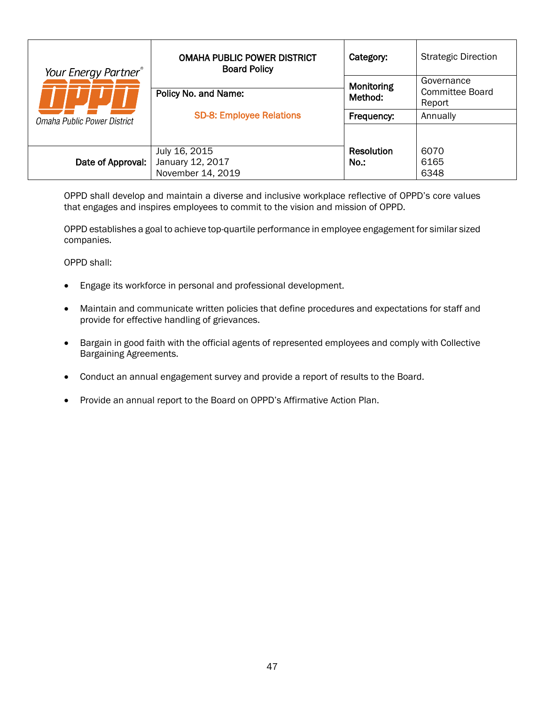| Your Energy Partner <sup>®</sup><br>Omaha Public Power District | <b>OMAHA PUBLIC POWER DISTRICT</b><br><b>Board Policy</b> | Category:                    | <b>Strategic Direction</b>              |
|-----------------------------------------------------------------|-----------------------------------------------------------|------------------------------|-----------------------------------------|
|                                                                 | Policy No. and Name:                                      | Monitoring<br>Method:        | Governance<br>Committee Board<br>Report |
|                                                                 | <b>SD-8: Employee Relations</b>                           | Frequency:                   | Annually                                |
|                                                                 |                                                           |                              |                                         |
| Date of Approval:                                               | July 16, 2015<br>January 12, 2017<br>November 14, 2019    | <b>Resolution</b><br>$No.$ : | 6070<br>6165<br>6348                    |

<span id="page-52-0"></span>OPPD shall develop and maintain a diverse and inclusive workplace reflective of OPPD's core values that engages and inspires employees to commit to the vision and mission of OPPD.

OPPD establishes a goal to achieve top-quartile performance in employee engagement for similar sized companies.

OPPD shall:

- Engage its workforce in personal and professional development.
- Maintain and communicate written policies that define procedures and expectations for staff and provide for effective handling of grievances.
- Bargain in good faith with the official agents of represented employees and comply with Collective Bargaining Agreements.
- Conduct an annual engagement survey and provide a report of results to the Board.
- Provide an annual report to the Board on OPPD's Affirmative Action Plan.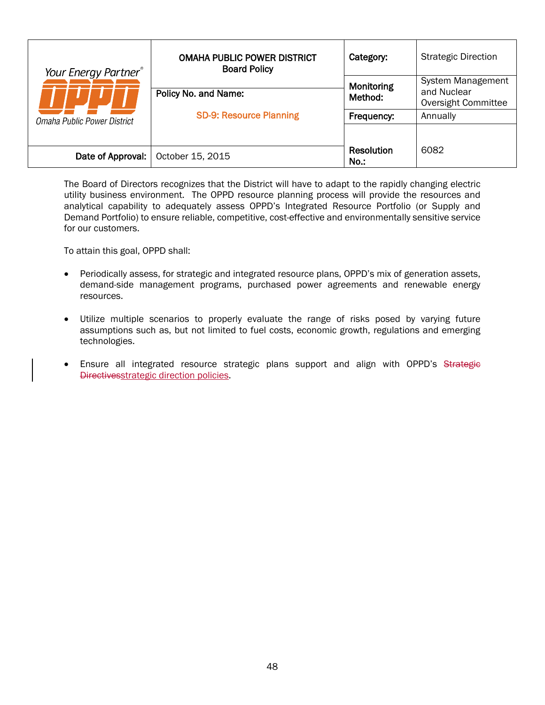| Your Energy Partner <sup>®</sup> | <b>OMAHA PUBLIC POWER DISTRICT</b><br><b>Board Policy</b> | Category:                 | <b>Strategic Direction</b>                              |
|----------------------------------|-----------------------------------------------------------|---------------------------|---------------------------------------------------------|
|                                  | Policy No. and Name:                                      | Monitoring<br>Method:     | System Management<br>and Nuclear<br>Oversight Committee |
| Omaha Public Power District      | <b>SD-9: Resource Planning</b>                            | Frequency:                | Annually                                                |
|                                  |                                                           |                           |                                                         |
| Date of Approval:                | October 15, 2015                                          | <b>Resolution</b><br>No.: | 6082                                                    |

<span id="page-53-0"></span>The Board of Directors recognizes that the District will have to adapt to the rapidly changing electric utility business environment. The OPPD resource planning process will provide the resources and analytical capability to adequately assess OPPD's Integrated Resource Portfolio (or Supply and Demand Portfolio) to ensure reliable, competitive, cost-effective and environmentally sensitive service for our customers.

To attain this goal, OPPD shall:

- Periodically assess, for strategic and integrated resource plans, OPPD's mix of generation assets, demand-side management programs, purchased power agreements and renewable energy resources.
- Utilize multiple scenarios to properly evaluate the range of risks posed by varying future assumptions such as, but not limited to fuel costs, economic growth, regulations and emerging technologies.
- Ensure all integrated resource strategic plans support and align with OPPD's Strategie Directivesstrategic direction policies.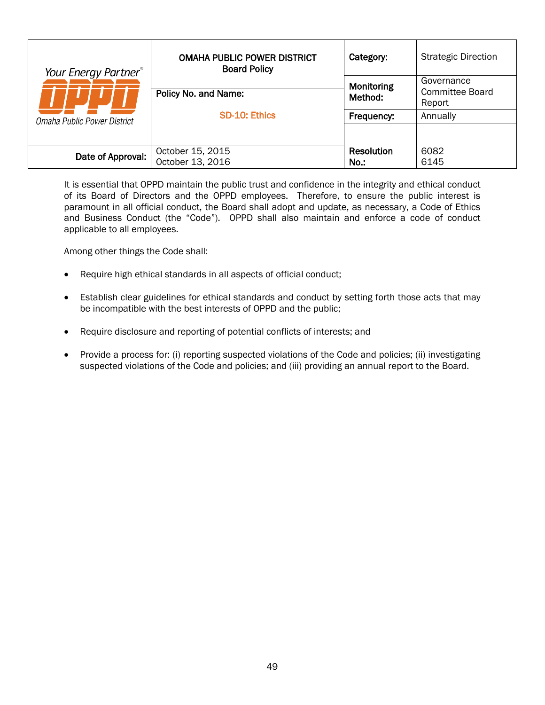| Your Energy Partner <sup>®</sup> | <b>OMAHA PUBLIC POWER DISTRICT</b><br><b>Board Policy</b> | Category:             | <b>Strategic Direction</b>              |
|----------------------------------|-----------------------------------------------------------|-----------------------|-----------------------------------------|
|                                  | Policy No. and Name:                                      | Monitoring<br>Method: | Governance<br>Committee Board<br>Report |
| Omaha Public Power District      | SD-10: Ethics                                             | Frequency:            | Annually                                |
| Date of Approval:                | October 15, 2015                                          | <b>Resolution</b>     | 6082                                    |
|                                  | October 13, 2016                                          | No.:                  | 6145                                    |

<span id="page-54-0"></span>It is essential that OPPD maintain the public trust and confidence in the integrity and ethical conduct of its Board of Directors and the OPPD employees. Therefore, to ensure the public interest is paramount in all official conduct, the Board shall adopt and update, as necessary, a Code of Ethics and Business Conduct (the "Code"). OPPD shall also maintain and enforce a code of conduct applicable to all employees.

Among other things the Code shall:

- Require high ethical standards in all aspects of official conduct;
- Establish clear guidelines for ethical standards and conduct by setting forth those acts that may be incompatible with the best interests of OPPD and the public;
- Require disclosure and reporting of potential conflicts of interests; and
- Provide a process for: (i) reporting suspected violations of the Code and policies; (ii) investigating suspected violations of the Code and policies; and (iii) providing an annual report to the Board.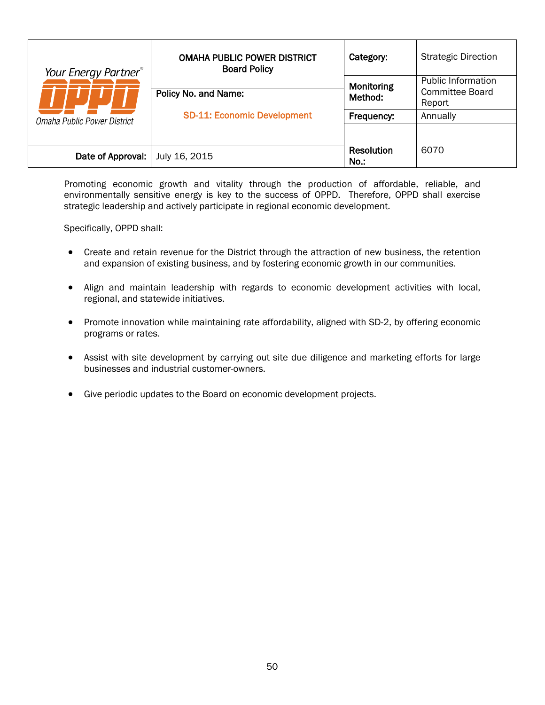| Your Energy Partner <sup>®</sup> | <b>OMAHA PUBLIC POWER DISTRICT</b><br><b>Board Policy</b> | Category:             | <b>Strategic Direction</b>                                    |
|----------------------------------|-----------------------------------------------------------|-----------------------|---------------------------------------------------------------|
|                                  | Policy No. and Name:                                      | Monitoring<br>Method: | <b>Public Information</b><br><b>Committee Board</b><br>Report |
| Omaha Public Power District      | <b>SD-11: Economic Development</b>                        | Frequency:            | Annually                                                      |
|                                  |                                                           |                       |                                                               |
| Date of Approval:                | July 16, 2015                                             | Resolution<br>No.:    | 6070                                                          |

<span id="page-55-0"></span>Promoting economic growth and vitality through the production of affordable, reliable, and environmentally sensitive energy is key to the success of OPPD. Therefore, OPPD shall exercise strategic leadership and actively participate in regional economic development.

Specifically, OPPD shall:

- Create and retain revenue for the District through the attraction of new business, the retention and expansion of existing business, and by fostering economic growth in our communities.
- Align and maintain leadership with regards to economic development activities with local, regional, and statewide initiatives.
- Promote innovation while maintaining rate affordability, aligned with SD-2, by offering economic programs or rates.
- Assist with site development by carrying out site due diligence and marketing efforts for large businesses and industrial customer-owners.
- Give periodic updates to the Board on economic development projects.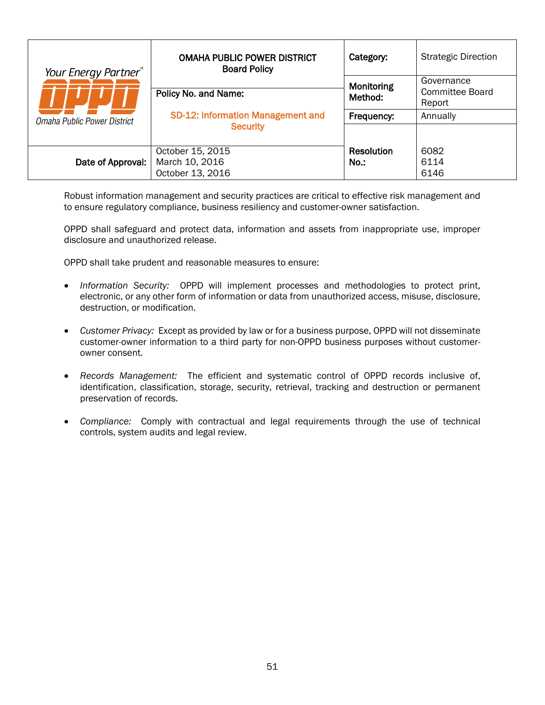| Your Energy Partner®<br>Omaha Public Power District | <b>OMAHA PUBLIC POWER DISTRICT</b><br><b>Board Policy</b> | Category:             | <b>Strategic Direction</b>              |
|-----------------------------------------------------|-----------------------------------------------------------|-----------------------|-----------------------------------------|
|                                                     | Policy No. and Name:                                      | Monitoring<br>Method: | Governance<br>Committee Board<br>Report |
|                                                     | SD-12: Information Management and<br><b>Security</b>      | Frequency:            | Annually                                |
| Date of Approval:                                   | October 15, 2015<br>March 10, 2016<br>October 13, 2016    | Resolution<br>$No.$ : | 6082<br>6114<br>6146                    |

<span id="page-56-0"></span>Robust information management and security practices are critical to effective risk management and to ensure regulatory compliance, business resiliency and customer-owner satisfaction.

OPPD shall safeguard and protect data, information and assets from inappropriate use, improper disclosure and unauthorized release.

OPPD shall take prudent and reasonable measures to ensure:

- *Information Security:* OPPD will implement processes and methodologies to protect print, electronic, or any other form of information or data from unauthorized access, misuse, disclosure, destruction, or modification.
- *Customer Privacy:* Except as provided by law or for a business purpose, OPPD will not disseminate customer-owner information to a third party for non-OPPD business purposes without customerowner consent.
- *Records Management:* The efficient and systematic control of OPPD records inclusive of, identification, classification, storage, security, retrieval, tracking and destruction or permanent preservation of records.
- *Compliance:* Comply with contractual and legal requirements through the use of technical controls, system audits and legal review.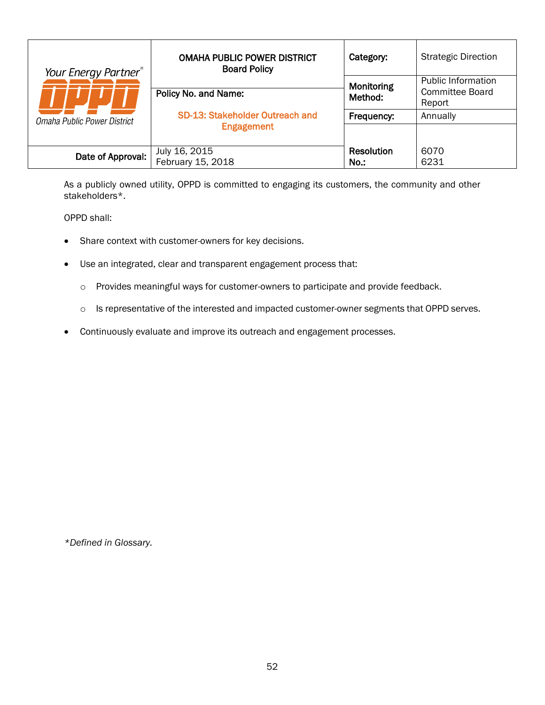| Your Energy Partner®        | <b>OMAHA PUBLIC POWER DISTRICT</b><br><b>Board Policy</b> | Category:         | <b>Strategic Direction</b>                          |
|-----------------------------|-----------------------------------------------------------|-------------------|-----------------------------------------------------|
|                             |                                                           | Monitoring        | <b>Public Information</b><br><b>Committee Board</b> |
|                             | Policy No. and Name:                                      | Method:           | Report                                              |
| Omaha Public Power District | SD-13: Stakeholder Outreach and                           | Frequency:        | Annually                                            |
|                             | <b>Engagement</b>                                         |                   |                                                     |
|                             | July 16, 2015                                             | <b>Resolution</b> | 6070                                                |
| Date of Approval:           | February 15, 2018                                         | $No.$ :           | 6231                                                |

<span id="page-57-0"></span>As a publicly owned utility, OPPD is committed to engaging its customers, the community and other stakeholders\*.

OPPD shall:

- Share context with customer-owners for key decisions.
- Use an integrated, clear and transparent engagement process that:
	- o Provides meaningful ways for customer-owners to participate and provide feedback.
	- o Is representative of the interested and impacted customer-owner segments that OPPD serves.
- Continuously evaluate and improve its outreach and engagement processes.

*\*Defined in Glossary.*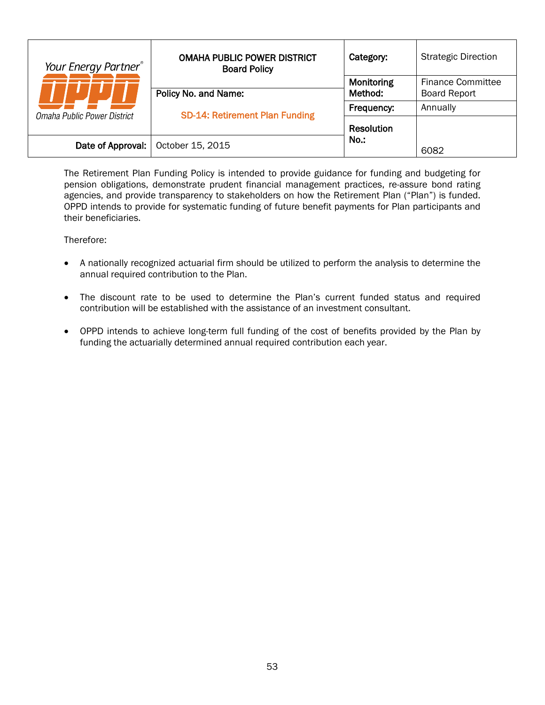| Your Energy Partner®<br>Omaha Public Power District | <b>OMAHA PUBLIC POWER DISTRICT</b><br><b>Board Policy</b> | Category:             | <b>Strategic Direction</b>                      |
|-----------------------------------------------------|-----------------------------------------------------------|-----------------------|-------------------------------------------------|
|                                                     | Policy No. and Name:                                      | Monitoring<br>Method: | <b>Finance Committee</b><br><b>Board Report</b> |
|                                                     | <b>SD-14: Retirement Plan Funding</b>                     | Frequency:            | Annually                                        |
|                                                     |                                                           | Resolution            |                                                 |
| Date of Approval:                                   | October 15, 2015                                          | $No.$ :               | 6082                                            |

<span id="page-58-0"></span>The Retirement Plan Funding Policy is intended to provide guidance for funding and budgeting for pension obligations, demonstrate prudent financial management practices, re-assure bond rating agencies, and provide transparency to stakeholders on how the Retirement Plan ("Plan") is funded. OPPD intends to provide for systematic funding of future benefit payments for Plan participants and their beneficiaries.

Therefore:

- A nationally recognized actuarial firm should be utilized to perform the analysis to determine the annual required contribution to the Plan.
- The discount rate to be used to determine the Plan's current funded status and required contribution will be established with the assistance of an investment consultant.
- OPPD intends to achieve long-term full funding of the cost of benefits provided by the Plan by funding the actuarially determined annual required contribution each year.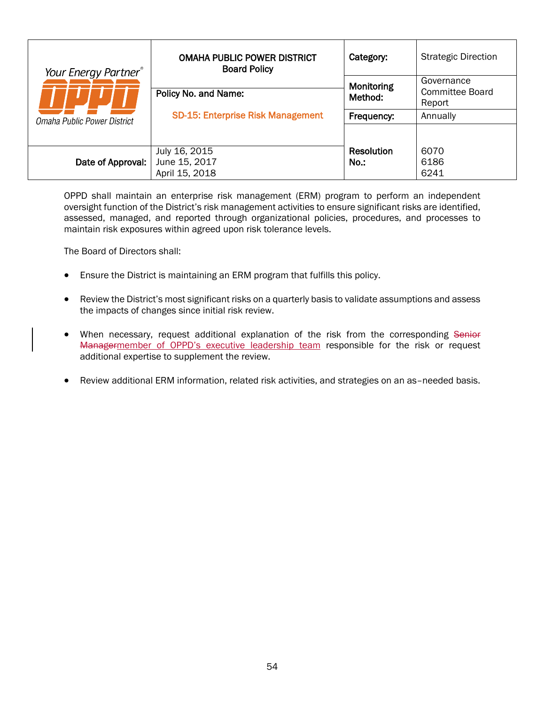| Your Energy Partner <sup>®</sup> | <b>OMAHA PUBLIC POWER DISTRICT</b><br><b>Board Policy</b> | Category:                                     | <b>Strategic Direction</b> |
|----------------------------------|-----------------------------------------------------------|-----------------------------------------------|----------------------------|
|                                  | Policy No. and Name:                                      | Governance<br>Monitoring<br>Method:<br>Report | Committee Board            |
| Omaha Public Power District      | <b>SD-15: Enterprise Risk Management</b>                  | Frequency:                                    | Annually                   |
|                                  |                                                           |                                               |                            |
|                                  | July 16, 2015                                             | <b>Resolution</b>                             | 6070                       |
| Date of Approval:                | June 15, 2017<br>April 15, 2018                           | $No.$ :                                       | 6186<br>6241               |

<span id="page-59-0"></span>OPPD shall maintain an enterprise risk management (ERM) program to perform an independent oversight function of the District's risk management activities to ensure significant risks are identified, assessed, managed, and reported through organizational policies, procedures, and processes to maintain risk exposures within agreed upon risk tolerance levels.

The Board of Directors shall:

- Ensure the District is maintaining an ERM program that fulfills this policy.
- Review the District's most significant risks on a quarterly basis to validate assumptions and assess the impacts of changes since initial risk review.
- When necessary, request additional explanation of the risk from the corresponding Senior Managermember of OPPD's executive leadership team responsible for the risk or request additional expertise to supplement the review.
- Review additional ERM information, related risk activities, and strategies on an as–needed basis.